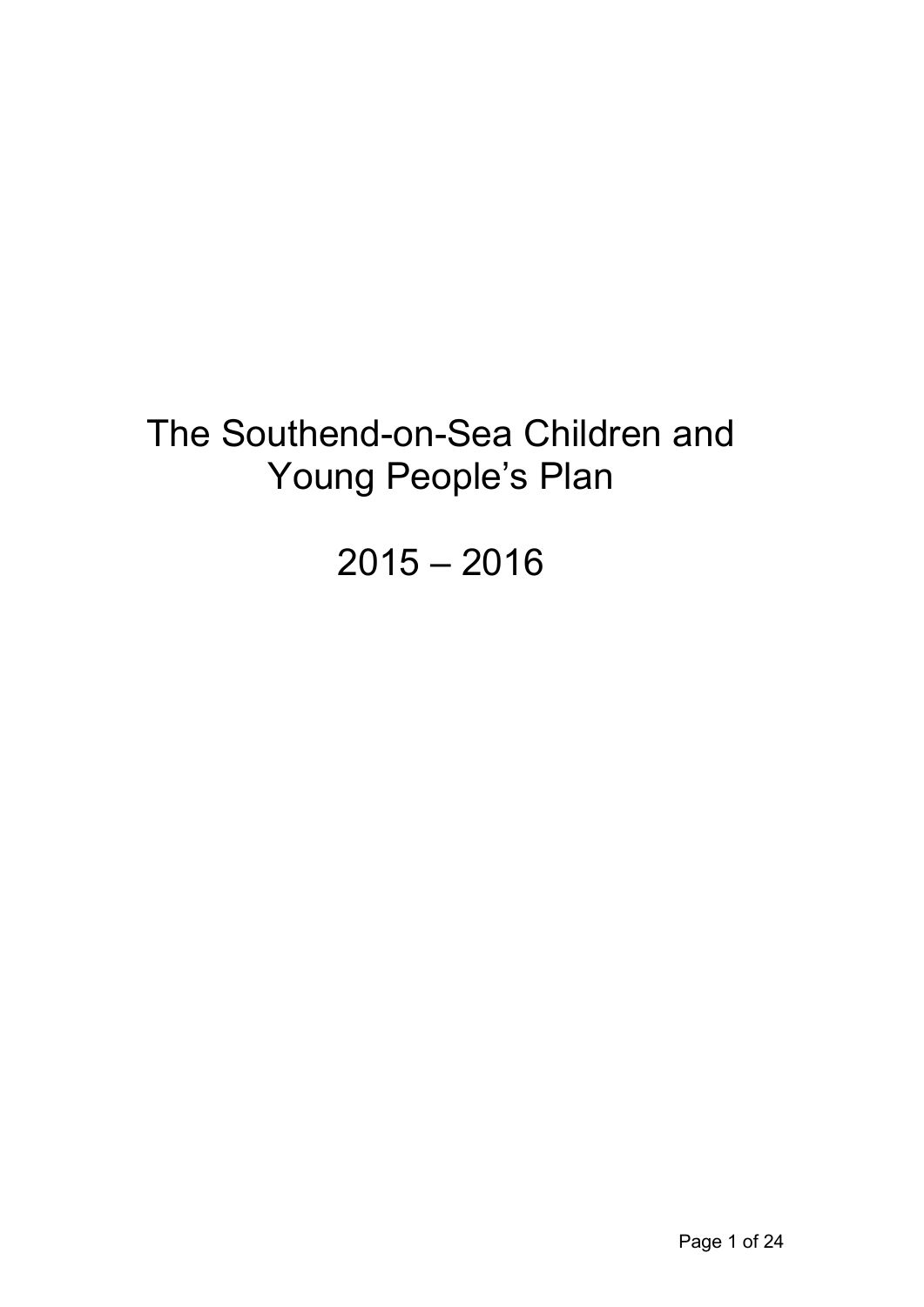# The Southend-on-Sea Children and Young People's Plan

 $2015 - 2016$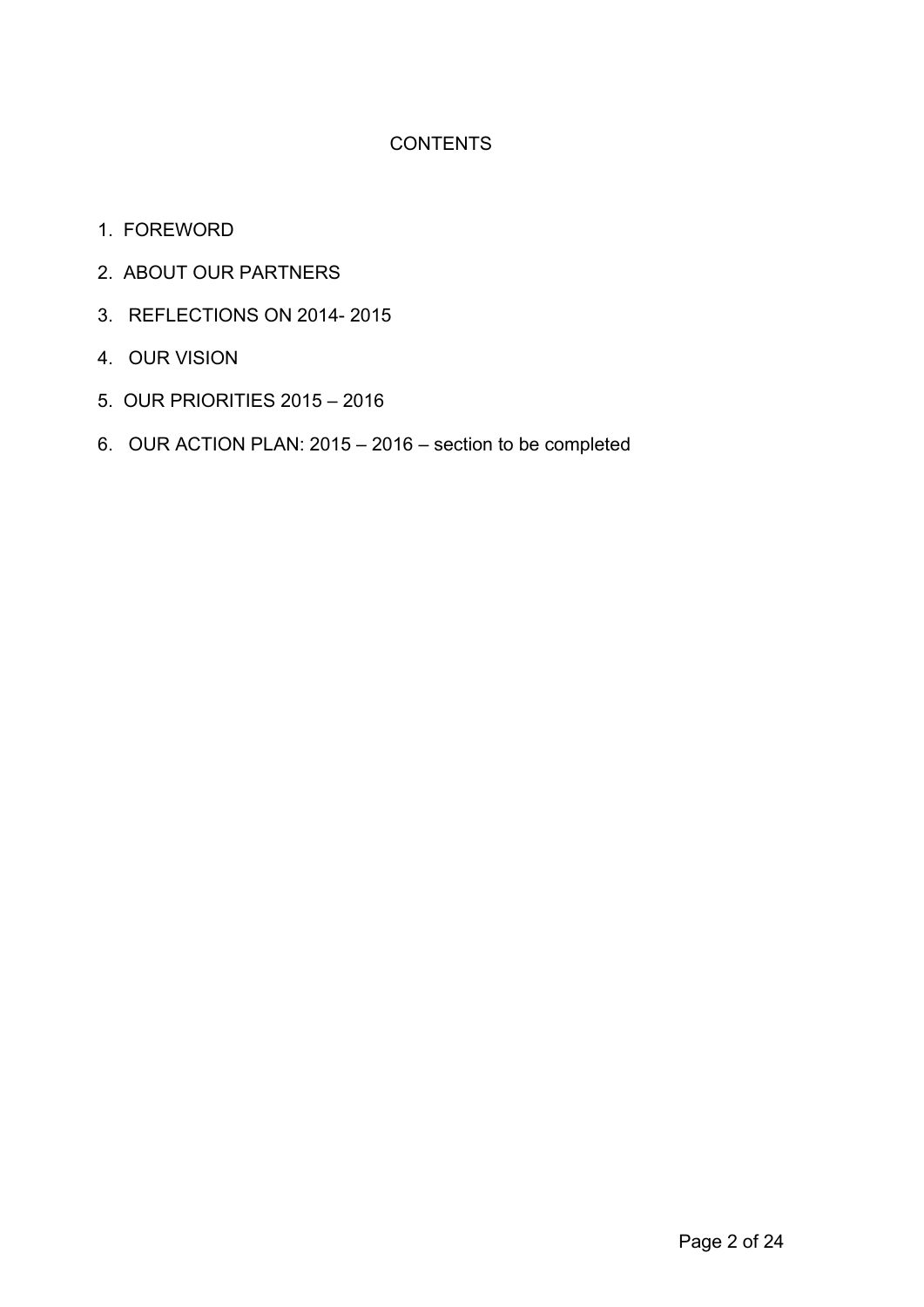# **CONTENTS**

- 1. FOREWORD
- 2. ABOUT OUR PARTNERS
- 3. REFLECTIONS ON 2014- 2015
- 4. OUR VISION
- 5. OUR PRIORITIES 2015 2016
- 6. OUR ACTION PLAN: 2015 2016 section to be completed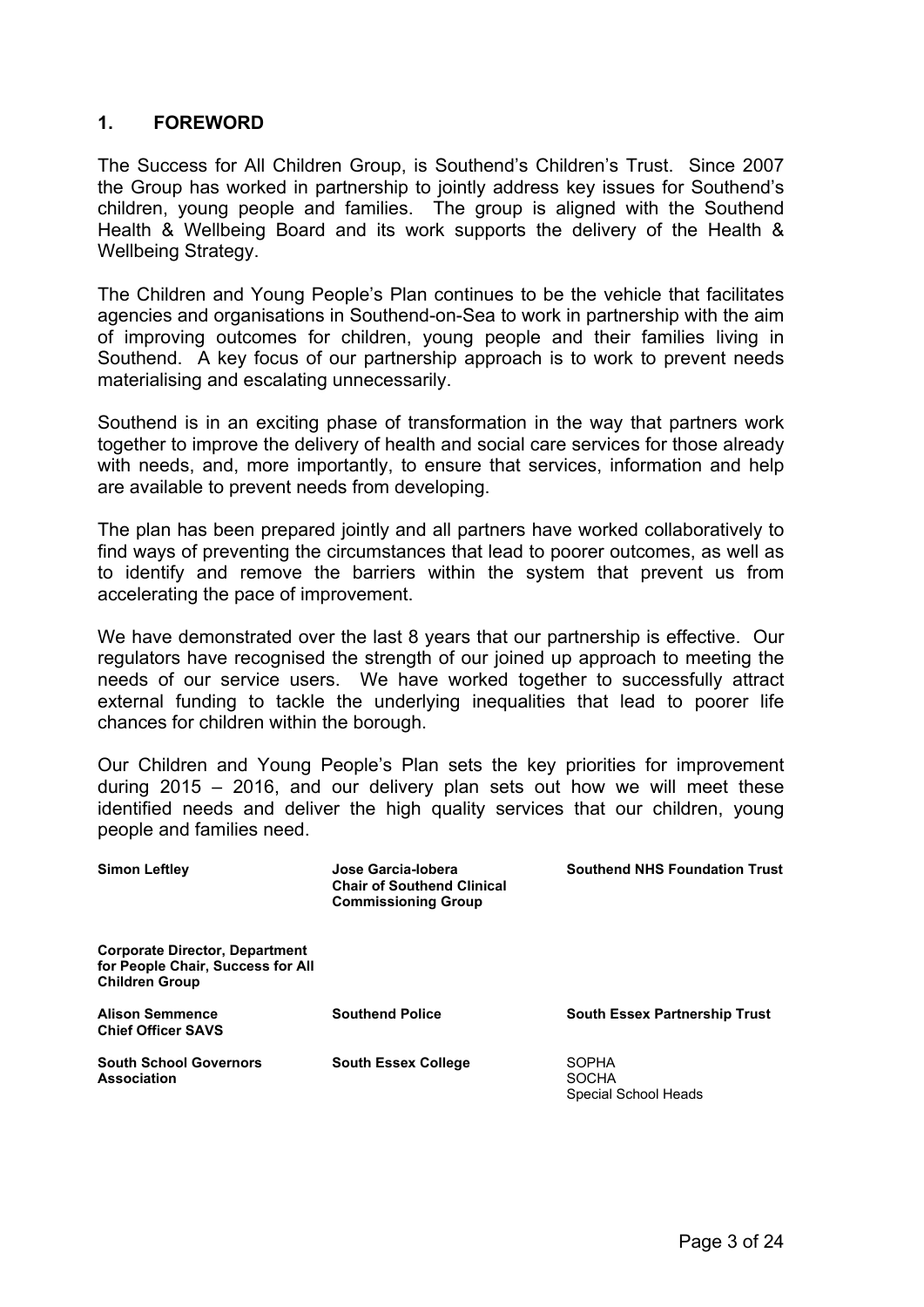## **1. FOREWORD**

The Success for All Children Group, is Southend's Children's Trust. Since 2007 the Group has worked in partnership to jointly address key issues for Southend's children, young people and families. The group is aligned with the Southend Health & Wellbeing Board and its work supports the delivery of the Health & Wellbeing Strategy.

The Children and Young People's Plan continues to be the vehicle that facilitates agencies and organisations in Southend-on-Sea to work in partnership with the aim of improving outcomes for children, young people and their families living in Southend. A key focus of our partnership approach is to work to prevent needs materialising and escalating unnecessarily.

Southend is in an exciting phase of transformation in the way that partners work together to improve the delivery of health and social care services for those already with needs, and, more importantly, to ensure that services, information and help are available to prevent needs from developing.

The plan has been prepared jointly and all partners have worked collaboratively to find ways of preventing the circumstances that lead to poorer outcomes, as well as to identify and remove the barriers within the system that prevent us from accelerating the pace of improvement.

We have demonstrated over the last 8 years that our partnership is effective. Our regulators have recognised the strength of our joined up approach to meeting the needs of our service users. We have worked together to successfully attract external funding to tackle the underlying inequalities that lead to poorer life chances for children within the borough.

Our Children and Young People's Plan sets the key priorities for improvement during 2015 – 2016, and our delivery plan sets out how we will meet these identified needs and deliver the high quality services that our children, young people and families need.

| <b>Simon Leftley</b>                                                                                | Jose Garcia-Iobera<br><b>Chair of Southend Clinical</b><br><b>Commissioning Group</b> | <b>Southend NHS Foundation Trust</b>                 |
|-----------------------------------------------------------------------------------------------------|---------------------------------------------------------------------------------------|------------------------------------------------------|
| <b>Corporate Director, Department</b><br>for People Chair, Success for All<br><b>Children Group</b> |                                                                                       |                                                      |
| <b>Alison Semmence</b><br><b>Chief Officer SAVS</b>                                                 | <b>Southend Police</b>                                                                | <b>South Essex Partnership Trust</b>                 |
| <b>South School Governors</b><br><b>Association</b>                                                 | <b>South Essex College</b>                                                            | <b>SOPHA</b><br><b>SOCHA</b><br>Special School Heads |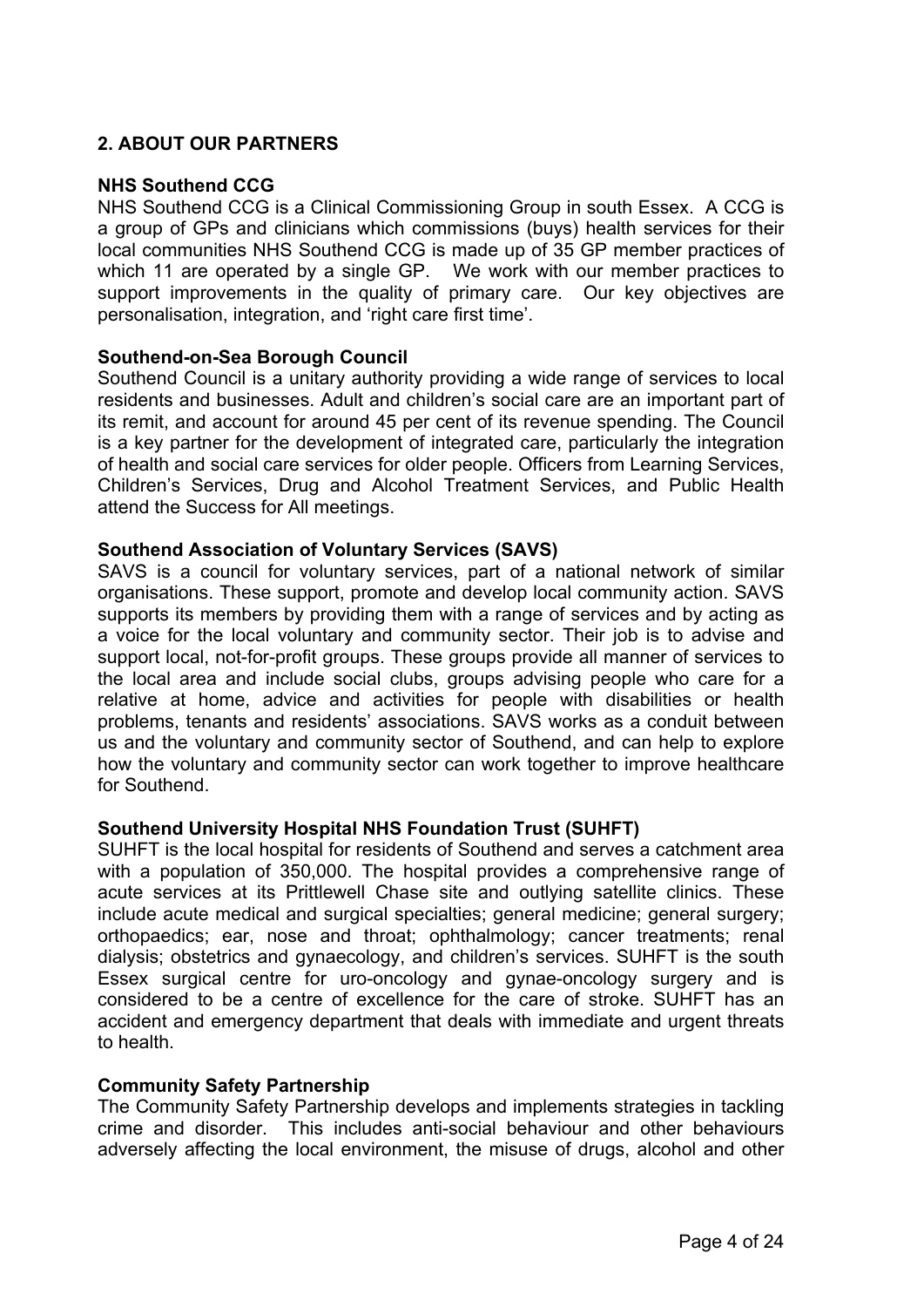# **2. ABOUT OUR PARTNERS**

#### **NHS Southend CCG**

NHS Southend CCG is a Clinical Commissioning Group in south Essex. A CCG is a group of GPs and clinicians which commissions (buys) health services for their local communities NHS Southend CCG is made up of 35 GP member practices of which 11 are operated by a single GP. We work with our member practices to support improvements in the quality of primary care. Our key objectives are personalisation, integration, and 'right care first time'.

#### **Southend-on-Sea Borough Council**

Southend Council is a unitary authority providing a wide range of services to local residents and businesses. Adult and children's social care are an important part of its remit, and account for around 45 per cent of its revenue spending. The Council is a key partner for the development of integrated care, particularly the integration of health and social care services for older people. Officers from Learning Services, Children's Services, Drug and Alcohol Treatment Services, and Public Health attend the Success for All meetings.

#### **Southend Association of Voluntary Services (SAVS)**

SAVS is a council for voluntary services, part of a national network of similar organisations. These support, promote and develop local community action. SAVS supports its members by providing them with a range of services and by acting as a voice for the local voluntary and community sector. Their job is to advise and support local, not-for-profit groups. These groups provide all manner of services to the local area and include social clubs, groups advising people who care for a relative at home, advice and activities for people with disabilities or health problems, tenants and residents' associations. SAVS works as a conduit between us and the voluntary and community sector of Southend, and can help to explore how the voluntary and community sector can work together to improve healthcare for Southend.

#### **Southend University Hospital NHS Foundation Trust (SUHFT)**

SUHFT is the local hospital for residents of Southend and serves a catchment area with a population of 350,000. The hospital provides a comprehensive range of acute services at its Prittlewell Chase site and outlying satellite clinics. These include acute medical and surgical specialties; general medicine; general surgery; orthopaedics; ear, nose and throat; ophthalmology; cancer treatments; renal dialysis; obstetrics and gynaecology, and children's services. SUHFT is the south Essex surgical centre for uro-oncology and gynae-oncology surgery and is considered to be a centre of excellence for the care of stroke. SUHFT has an accident and emergency department that deals with immediate and urgent threats to health.

#### **Community Safety Partnership**

The Community Safety Partnership develops and implements strategies in tackling crime and disorder. This includes anti-social behaviour and other behaviours adversely affecting the local environment, the misuse of drugs, alcohol and other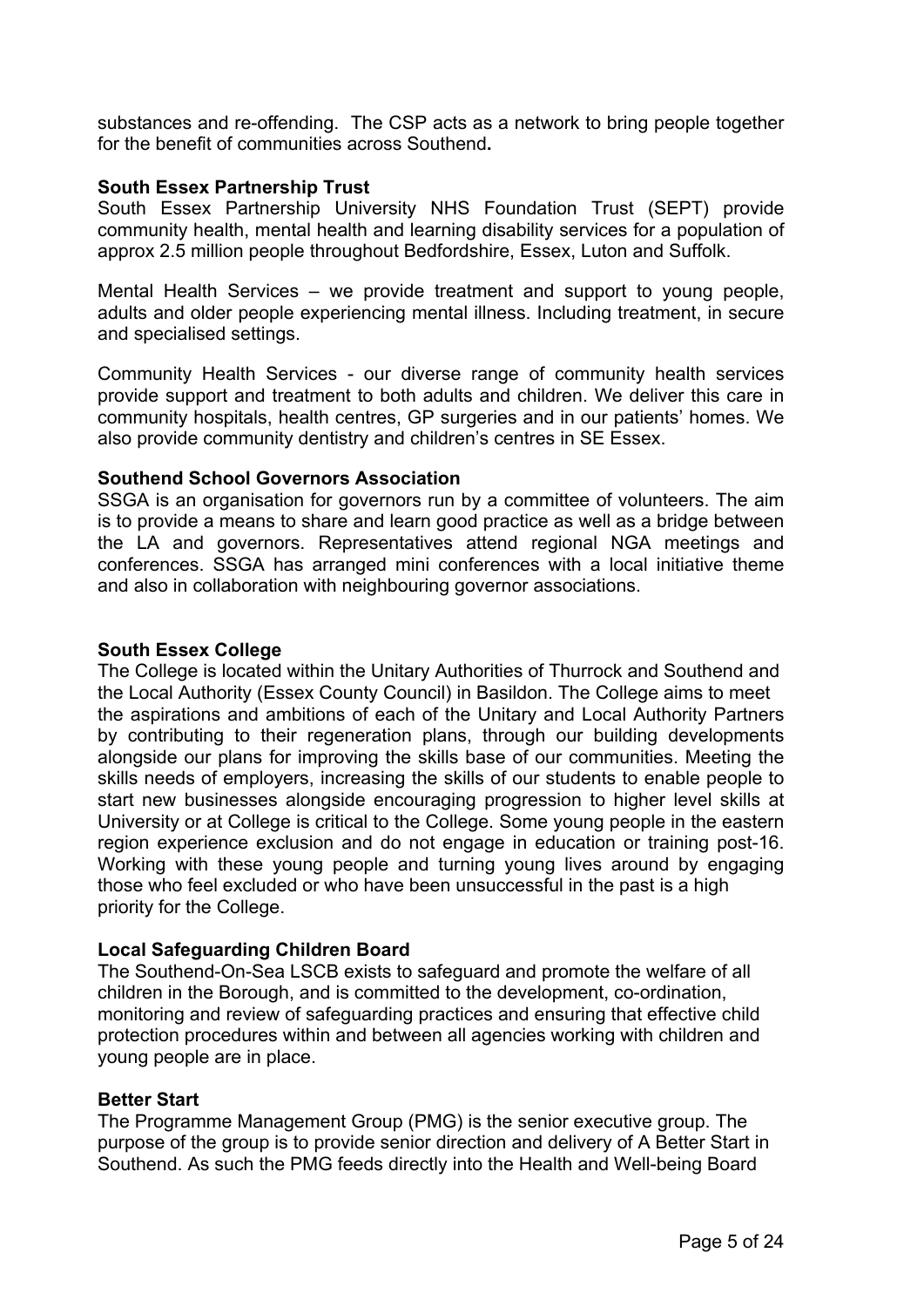substances and re-offending. The CSP acts as a network to bring people together for the benefit of communities across Southend**.**

#### **South Essex Partnership Trust**

South Essex Partnership University NHS Foundation Trust (SEPT) provide community health, mental health and learning disability services for a population of approx 2.5 million people throughout Bedfordshire, Essex, Luton and Suffolk.

Mental Health Services – we provide treatment and support to young people, adults and older people experiencing mental illness. Including treatment, in secure and specialised settings.

Community Health Services - our diverse range of community health services provide support and treatment to both adults and children. We deliver this care in community hospitals, health centres, GP surgeries and in our patients' homes. We also provide community dentistry and children's centres in SE Essex.

#### **Southend School Governors Association**

SSGA is an organisation for governors run by a committee of volunteers. The aim is to provide a means to share and learn good practice as well as a bridge between the LA and governors. Representatives attend regional NGA meetings and conferences. SSGA has arranged mini conferences with a local initiative theme and also in collaboration with neighbouring governor associations.

#### **South Essex College**

The College is located within the Unitary Authorities of Thurrock and Southend and the Local Authority (Essex County Council) in Basildon. The College aims to meet the aspirations and ambitions of each of the Unitary and Local Authority Partners by contributing to their regeneration plans, through our building developments alongside our plans for improving the skills base of our communities. Meeting the skills needs of employers, increasing the skills of our students to enable people to start new businesses alongside encouraging progression to higher level skills at University or at College is critical to the College. Some young people in the eastern region experience exclusion and do not engage in education or training post-16. Working with these young people and turning young lives around by engaging those who feel excluded or who have been unsuccessful in the past is a high priority for the College.

#### **Local Safeguarding Children Board**

The Southend-On-Sea LSCB exists to safeguard and promote the welfare of all children in the Borough, and is committed to the development, co-ordination, monitoring and review of safeguarding practices and ensuring that effective child protection procedures within and between all agencies working with children and young people are in place.

#### **Better Start**

The Programme Management Group (PMG) is the senior executive group. The purpose of the group is to provide senior direction and delivery of A Better Start in Southend. As such the PMG feeds directly into the Health and Well-being Board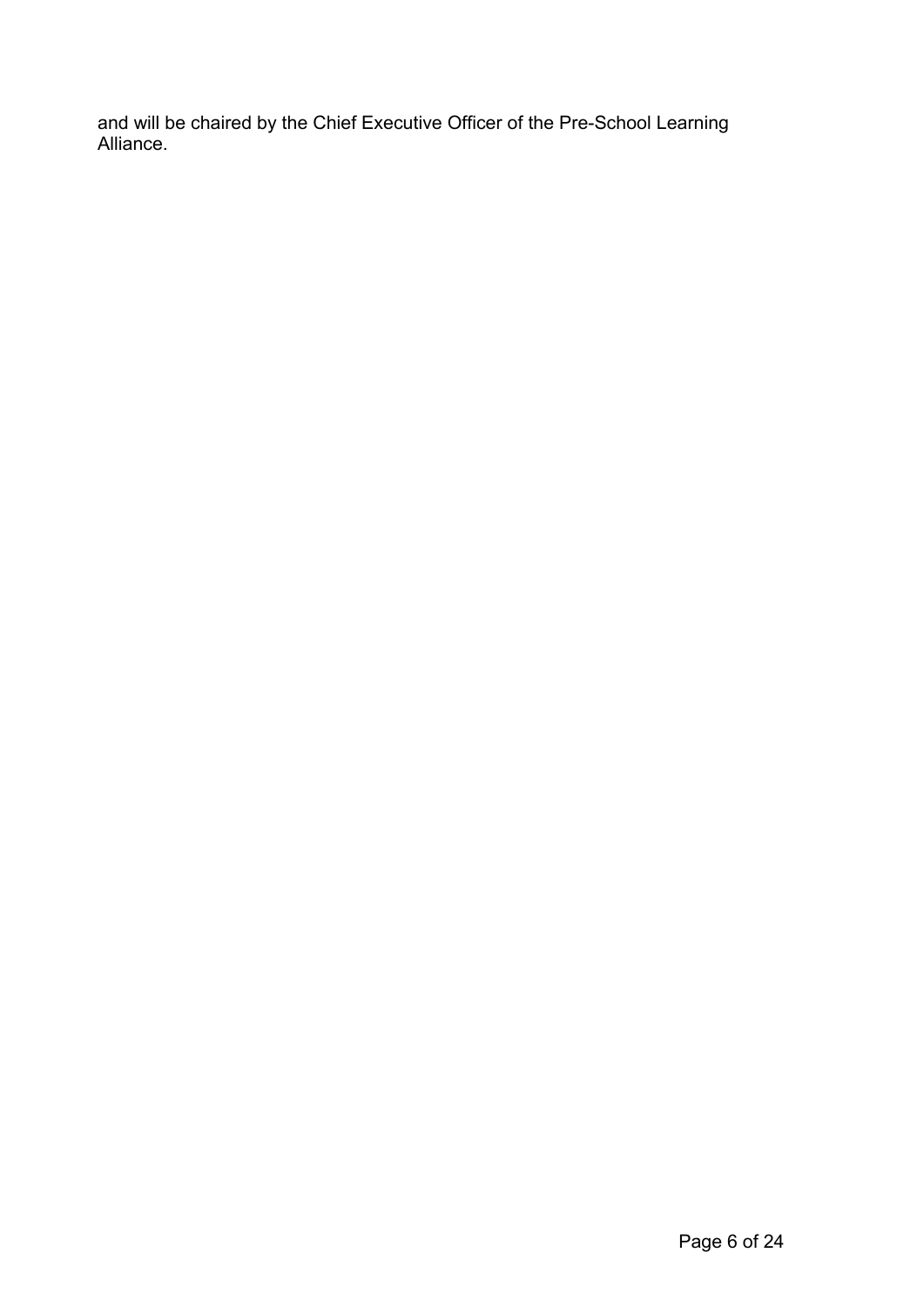and will be chaired by the Chief Executive Officer of the Pre-School Learning Alliance.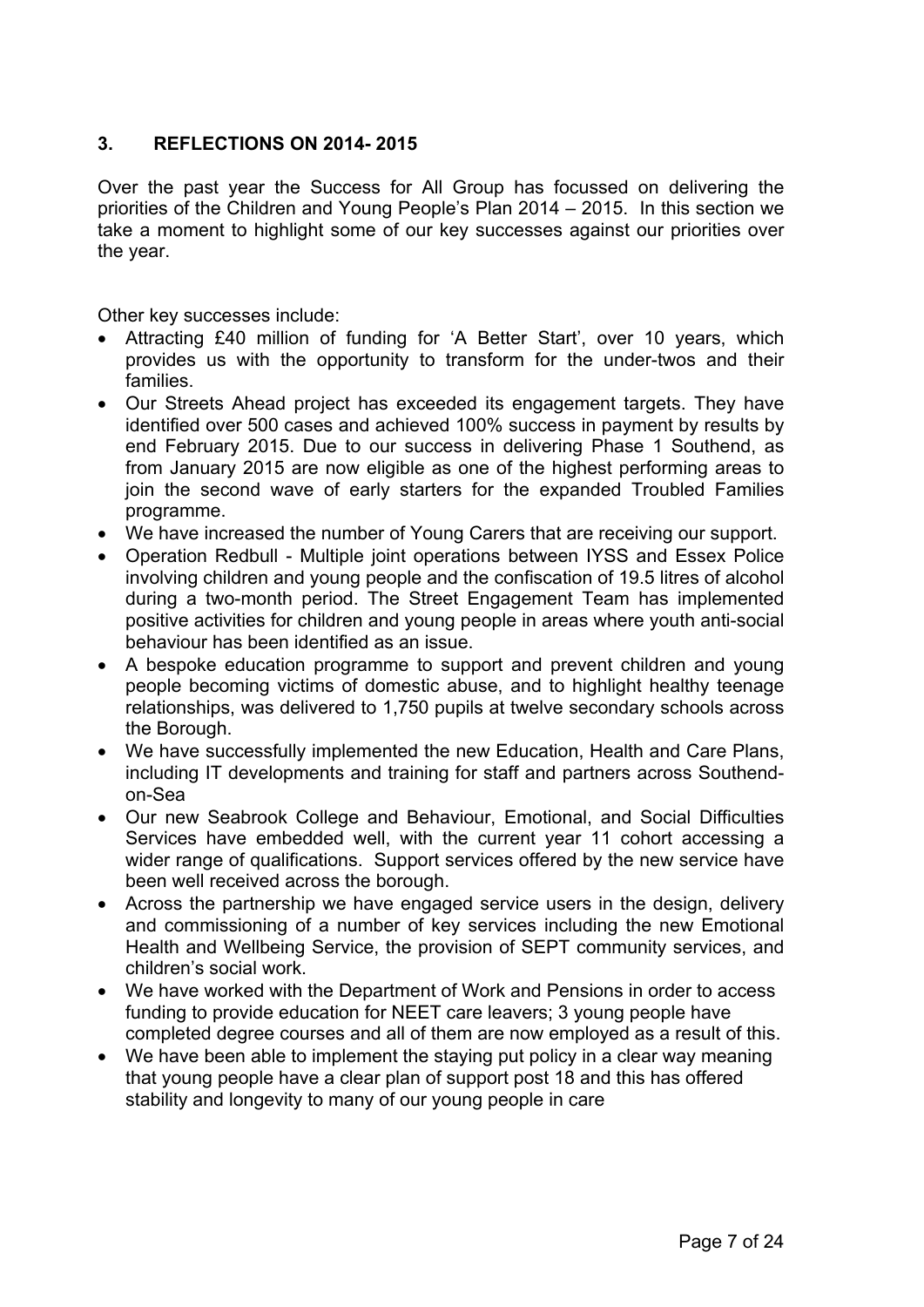## **3. REFLECTIONS ON 2014- 2015**

Over the past year the Success for All Group has focussed on delivering the priorities of the Children and Young People's Plan 2014 – 2015. In this section we take a moment to highlight some of our key successes against our priorities over the year.

Other key successes include:

- Attracting £40 million of funding for 'A Better Start', over 10 years, which provides us with the opportunity to transform for the under-twos and their families.
- Our Streets Ahead project has exceeded its engagement targets. They have identified over 500 cases and achieved 100% success in payment by results by end February 2015. Due to our success in delivering Phase 1 Southend, as from January 2015 are now eligible as one of the highest performing areas to join the second wave of early starters for the expanded Troubled Families programme.
- We have increased the number of Young Carers that are receiving our support.
- Operation Redbull Multiple joint operations between IYSS and Essex Police involving children and young people and the confiscation of 19.5 litres of alcohol during a two-month period. The Street Engagement Team has implemented positive activities for children and young people in areas where youth anti-social behaviour has been identified as an issue.
- A bespoke education programme to support and prevent children and young people becoming victims of domestic abuse, and to highlight healthy teenage relationships, was delivered to 1,750 pupils at twelve secondary schools across the Borough.
- We have successfully implemented the new Education, Health and Care Plans, including IT developments and training for staff and partners across Southendon-Sea
- Our new Seabrook College and Behaviour, Emotional, and Social Difficulties Services have embedded well, with the current year 11 cohort accessing a wider range of qualifications. Support services offered by the new service have been well received across the borough.
- Across the partnership we have engaged service users in the design, delivery and commissioning of a number of key services including the new Emotional Health and Wellbeing Service, the provision of SEPT community services, and children's social work.
- We have worked with the Department of Work and Pensions in order to access funding to provide education for NEET care leavers; 3 young people have completed degree courses and all of them are now employed as a result of this.
- We have been able to implement the staying put policy in a clear way meaning that young people have a clear plan of support post 18 and this has offered stability and longevity to many of our young people in care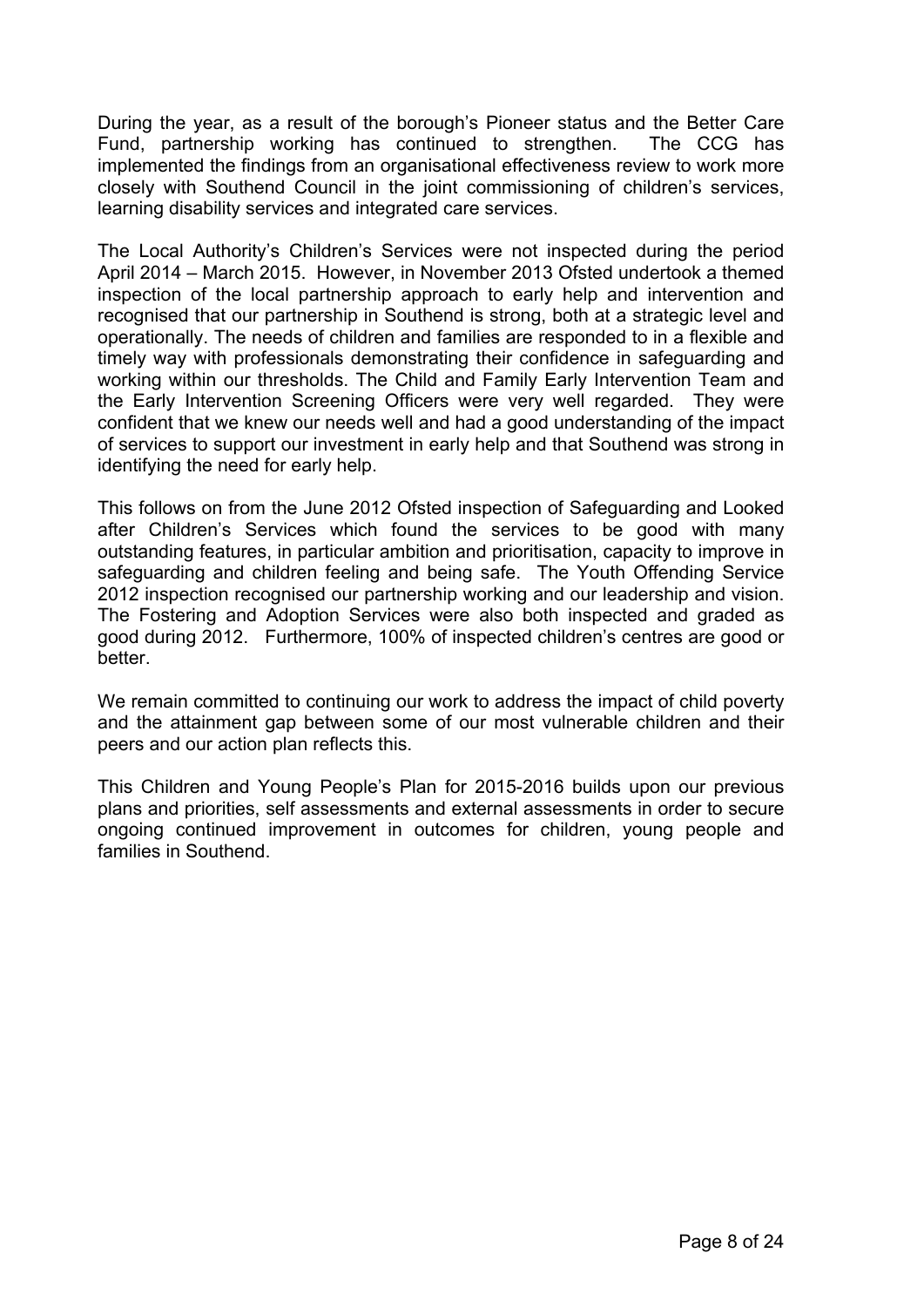During the year, as a result of the borough's Pioneer status and the Better Care Fund, partnership working has continued to strengthen. The CCG has implemented the findings from an organisational effectiveness review to work more closely with Southend Council in the joint commissioning of children's services, learning disability services and integrated care services.

The Local Authority's Children's Services were not inspected during the period April 2014 – March 2015. However, in November 2013 Ofsted undertook a themed inspection of the local partnership approach to early help and intervention and recognised that our partnership in Southend is strong, both at a strategic level and operationally. The needs of children and families are responded to in a flexible and timely way with professionals demonstrating their confidence in safeguarding and working within our thresholds. The Child and Family Early Intervention Team and the Early Intervention Screening Officers were very well regarded. They were confident that we knew our needs well and had a good understanding of the impact of services to support our investment in early help and that Southend was strong in identifying the need for early help.

This follows on from the June 2012 Ofsted inspection of Safeguarding and Looked after Children's Services which found the services to be good with many outstanding features, in particular ambition and prioritisation, capacity to improve in safeguarding and children feeling and being safe. The Youth Offending Service 2012 inspection recognised our partnership working and our leadership and vision. The Fostering and Adoption Services were also both inspected and graded as good during 2012. Furthermore, 100% of inspected children's centres are good or better.

We remain committed to continuing our work to address the impact of child poverty and the attainment gap between some of our most vulnerable children and their peers and our action plan reflects this.

This Children and Young People's Plan for 2015-2016 builds upon our previous plans and priorities, self assessments and external assessments in order to secure ongoing continued improvement in outcomes for children, young people and families in Southend.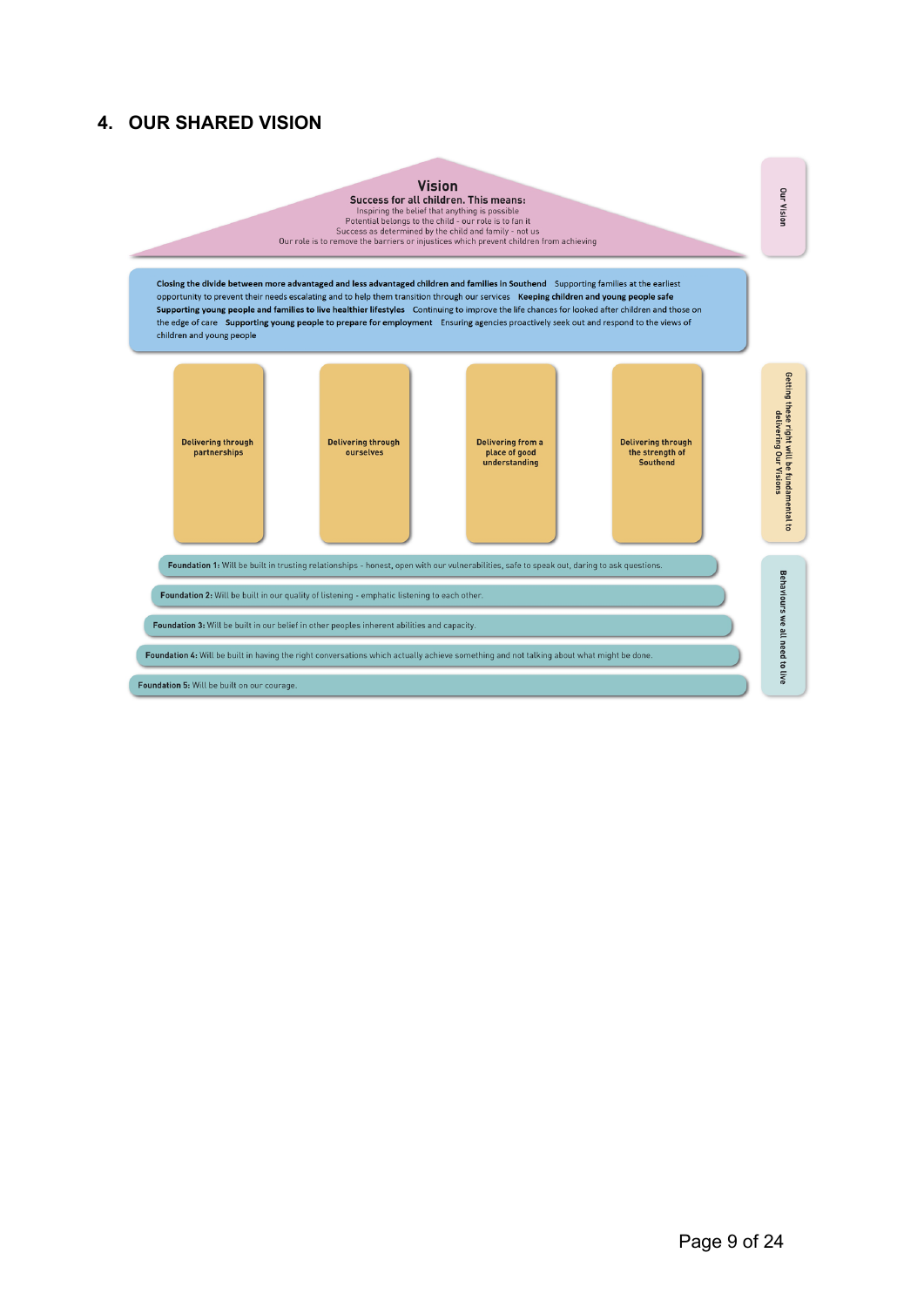# **4. OUR SHARED VISION**

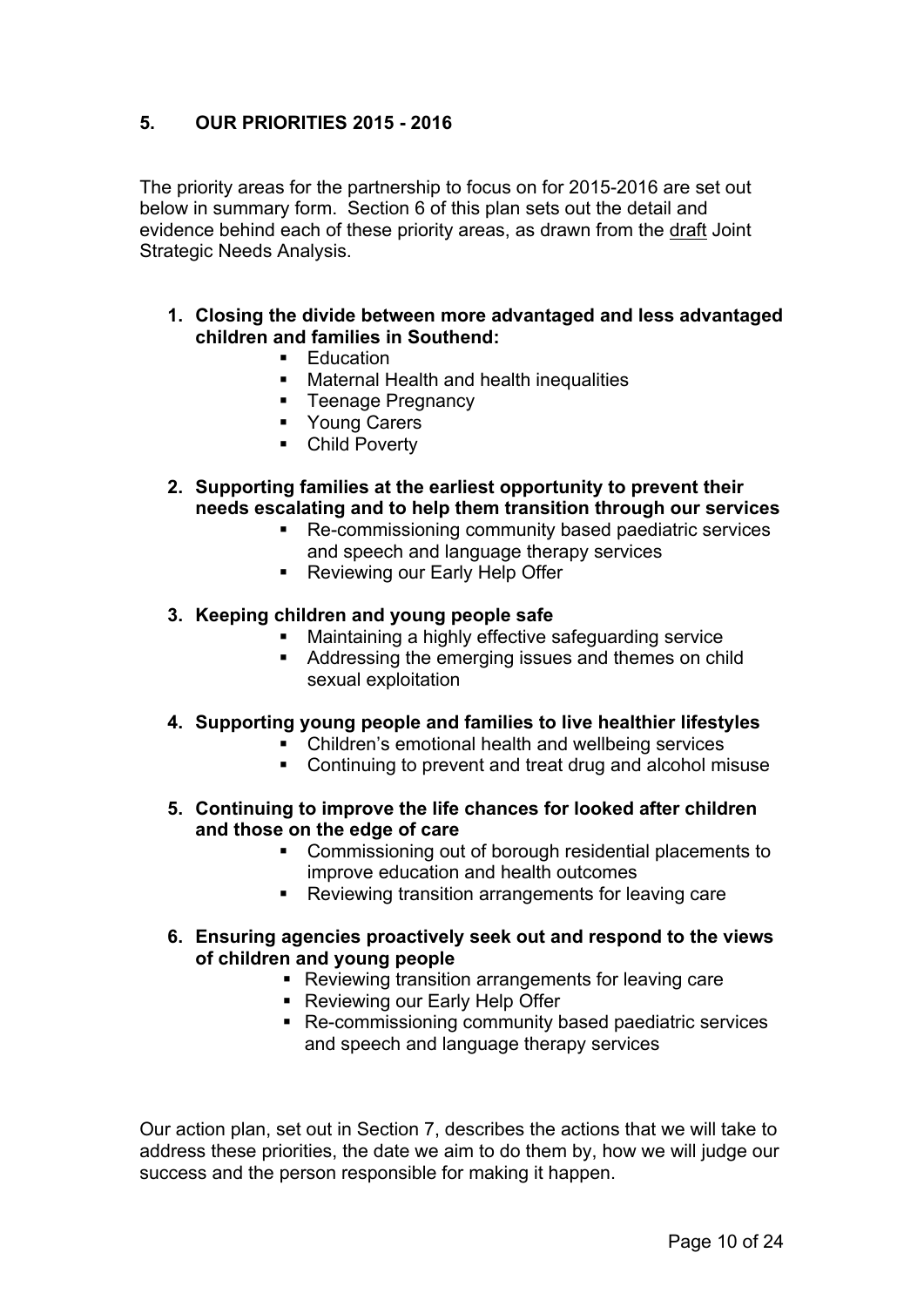# **5. OUR PRIORITIES 2015 - 2016**

The priority areas for the partnership to focus on for 2015-2016 are set out below in summary form. Section 6 of this plan sets out the detail and evidence behind each of these priority areas, as drawn from the draft Joint Strategic Needs Analysis.

- **1. Closing the divide between more advantaged and less advantaged children and families in Southend:**
	- **Education**
	- **Maternal Health and health inequalities**
	- **Teenage Pregnancy**
	- **Young Carers**
	- **•** Child Poverty
- **2. Supporting families at the earliest opportunity to prevent their needs escalating and to help them transition through our services**
	- Re-commissioning community based paediatric services and speech and language therapy services
	- **Reviewing our Early Help Offer**
- **3. Keeping children and young people safe**
	- Maintaining a highly effective safeguarding service
	- Addressing the emerging issues and themes on child sexual exploitation
- **4. Supporting young people and families to live healthier lifestyles**
	- Children's emotional health and wellbeing services
	- Continuing to prevent and treat drug and alcohol misuse
- **5. Continuing to improve the life chances for looked after children and those on the edge of care**
	- Commissioning out of borough residential placements to improve education and health outcomes
	- Reviewing transition arrangements for leaving care
- **6. Ensuring agencies proactively seek out and respond to the views of children and young people**
	- Reviewing transition arrangements for leaving care
	- Reviewing our Early Help Offer
	- Re-commissioning community based paediatric services and speech and language therapy services

Our action plan, set out in Section 7, describes the actions that we will take to address these priorities, the date we aim to do them by, how we will judge our success and the person responsible for making it happen.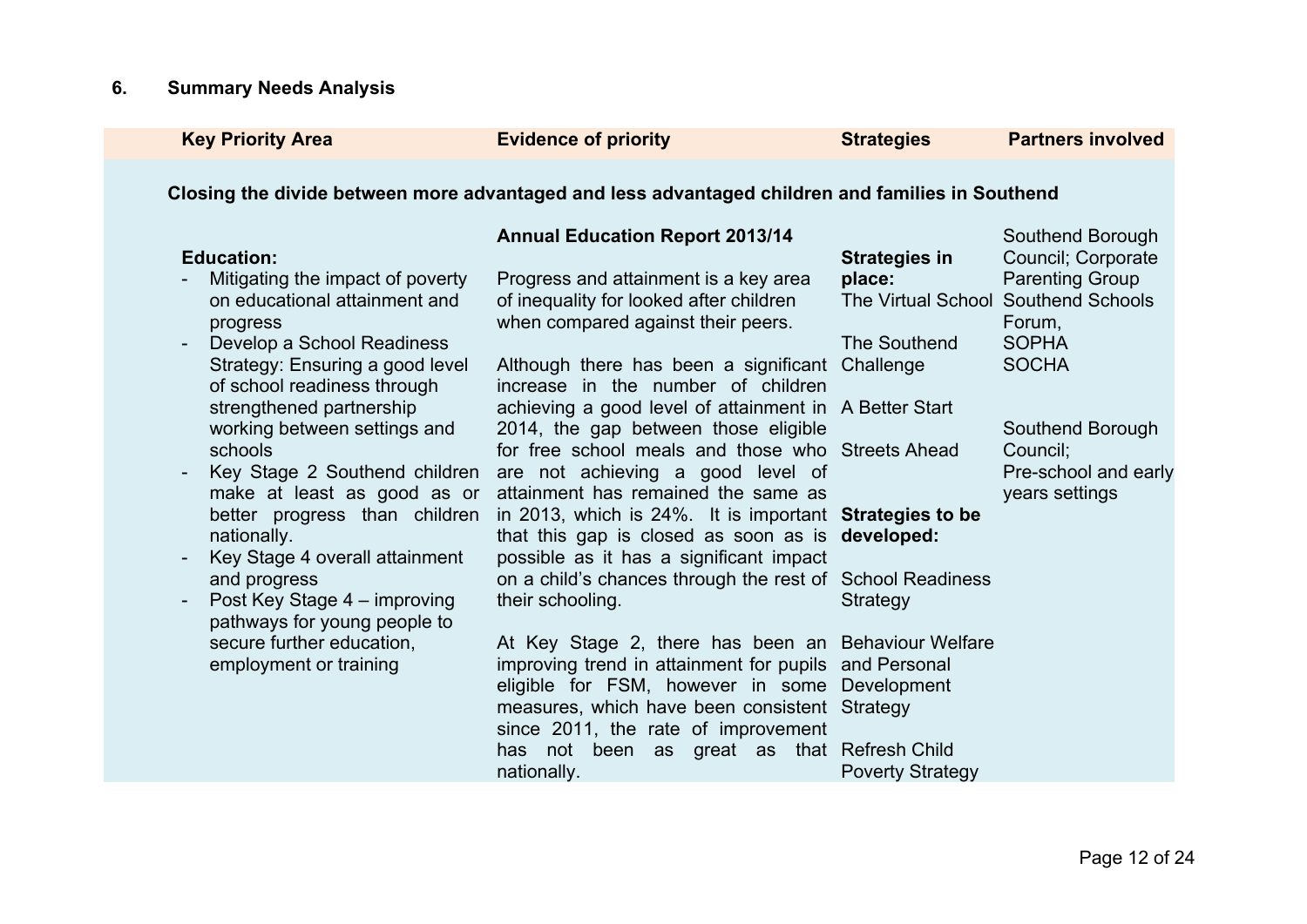# **6. Summary Needs Analysis**

| <b>Key Priority Area</b>                                                                                                                                                                                                                                                                                                                                                                                                                                                                                                          | <b>Evidence of priority</b>                                                                                                                                                                                                                                                                                                                                                                                                                                                                                                                                                                                                                                                                                                                                                                                                                                                                                                                                                                                                                                                       | <b>Strategies</b>                                                                                                | <b>Partners involved</b>                                                                                                                                                                                                    |
|-----------------------------------------------------------------------------------------------------------------------------------------------------------------------------------------------------------------------------------------------------------------------------------------------------------------------------------------------------------------------------------------------------------------------------------------------------------------------------------------------------------------------------------|-----------------------------------------------------------------------------------------------------------------------------------------------------------------------------------------------------------------------------------------------------------------------------------------------------------------------------------------------------------------------------------------------------------------------------------------------------------------------------------------------------------------------------------------------------------------------------------------------------------------------------------------------------------------------------------------------------------------------------------------------------------------------------------------------------------------------------------------------------------------------------------------------------------------------------------------------------------------------------------------------------------------------------------------------------------------------------------|------------------------------------------------------------------------------------------------------------------|-----------------------------------------------------------------------------------------------------------------------------------------------------------------------------------------------------------------------------|
|                                                                                                                                                                                                                                                                                                                                                                                                                                                                                                                                   | Closing the divide between more advantaged and less advantaged children and families in Southend                                                                                                                                                                                                                                                                                                                                                                                                                                                                                                                                                                                                                                                                                                                                                                                                                                                                                                                                                                                  |                                                                                                                  |                                                                                                                                                                                                                             |
| <b>Education:</b><br>Mitigating the impact of poverty<br>on educational attainment and<br>progress<br>Develop a School Readiness<br>Strategy: Ensuring a good level<br>of school readiness through<br>strengthened partnership<br>working between settings and<br>schools<br>make at least as good as or<br>better progress than children<br>nationally.<br>Key Stage 4 overall attainment<br>and progress<br>Post Key Stage 4 – improving<br>pathways for young people to<br>secure further education,<br>employment or training | <b>Annual Education Report 2013/14</b><br>Progress and attainment is a key area<br>of inequality for looked after children<br>when compared against their peers.<br>Although there has been a significant Challenge<br>increase in the number of children<br>achieving a good level of attainment in A Better Start<br>2014, the gap between those eligible<br>for free school meals and those who Streets Ahead<br>Key Stage 2 Southend children are not achieving a good level of<br>attainment has remained the same as<br>in 2013, which is 24%. It is important <b>Strategies to be</b><br>that this gap is closed as soon as is developed:<br>possible as it has a significant impact<br>on a child's chances through the rest of School Readiness<br>their schooling.<br>At Key Stage 2, there has been an Behaviour Welfare<br>improving trend in attainment for pupils and Personal<br>eligible for FSM, however in some<br>measures, which have been consistent<br>since 2011, the rate of improvement<br>not been as great as that Refresh Child<br>has<br>nationally. | <b>Strategies in</b><br>place:<br>The Southend<br>Strategy<br>Development<br>Strategy<br><b>Poverty Strategy</b> | Southend Borough<br>Council; Corporate<br><b>Parenting Group</b><br>The Virtual School Southend Schools<br>Forum,<br><b>SOPHA</b><br><b>SOCHA</b><br>Southend Borough<br>Council;<br>Pre-school and early<br>years settings |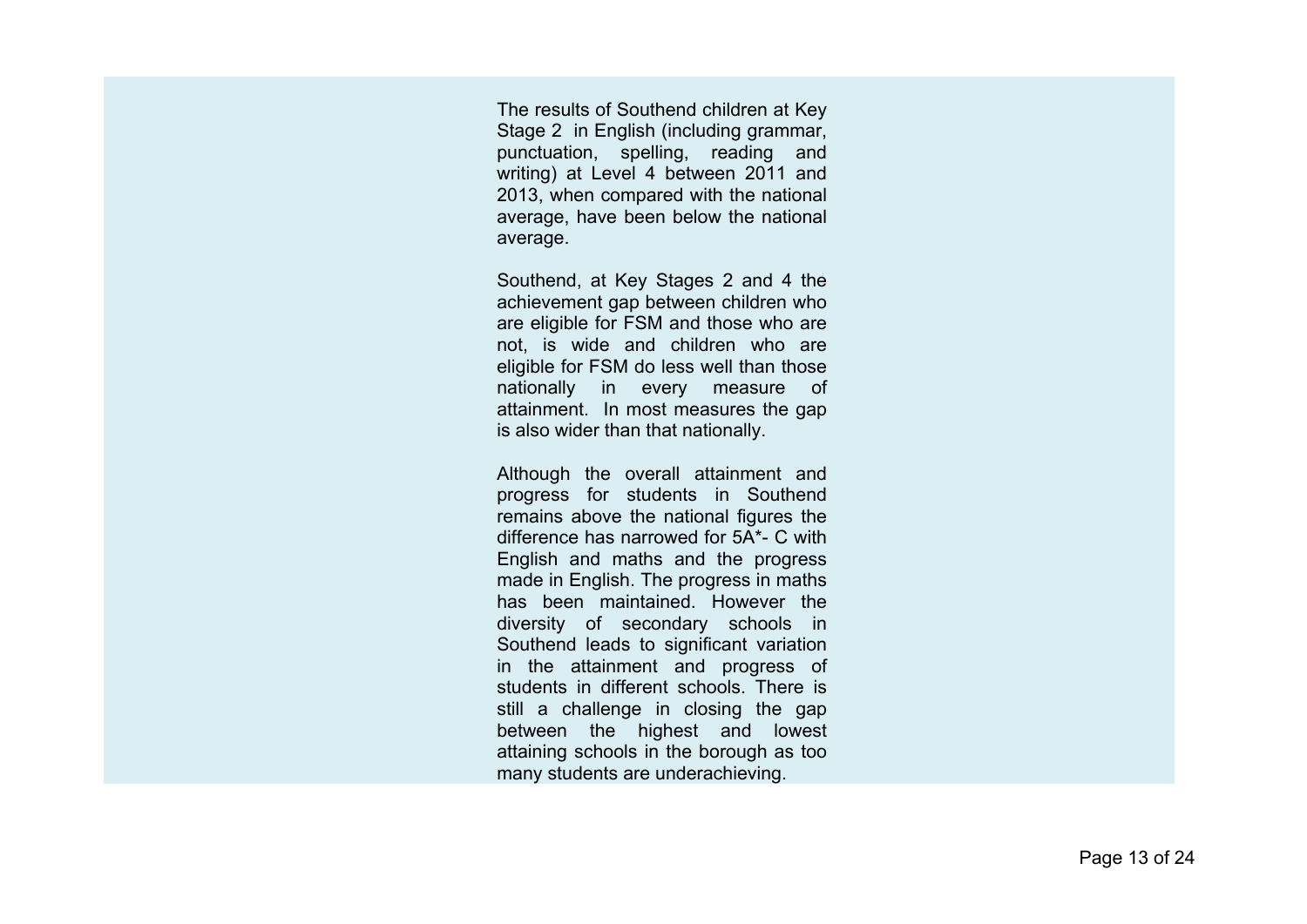The results of Southend children at Key Stage 2 in English (including grammar, punctuation, spelling, reading and writing) at Level 4 between 2011 and 2013, when compared with the national average, have been below the national average.

Southend, at Key Stages 2 and 4 the achievement gap between children who are eligible for FSM and those who are not, is wide and children who are eligible for FSM do less well than those nationally in every measure of attainment. In most measures the gap is also wider than that nationally.

Although the overall attainment and progress for students in Southend remains above the national figures the difference has narrowed for 5A\*- C with English and maths and the progress made in English. The progress in maths has been maintained. However the diversity of secondary schools in Southend leads to significant variation in the attainment and progress of students in different schools. There is still a challenge in closing the gap between the highest and lowest attaining schools in the borough as too many students are underachieving.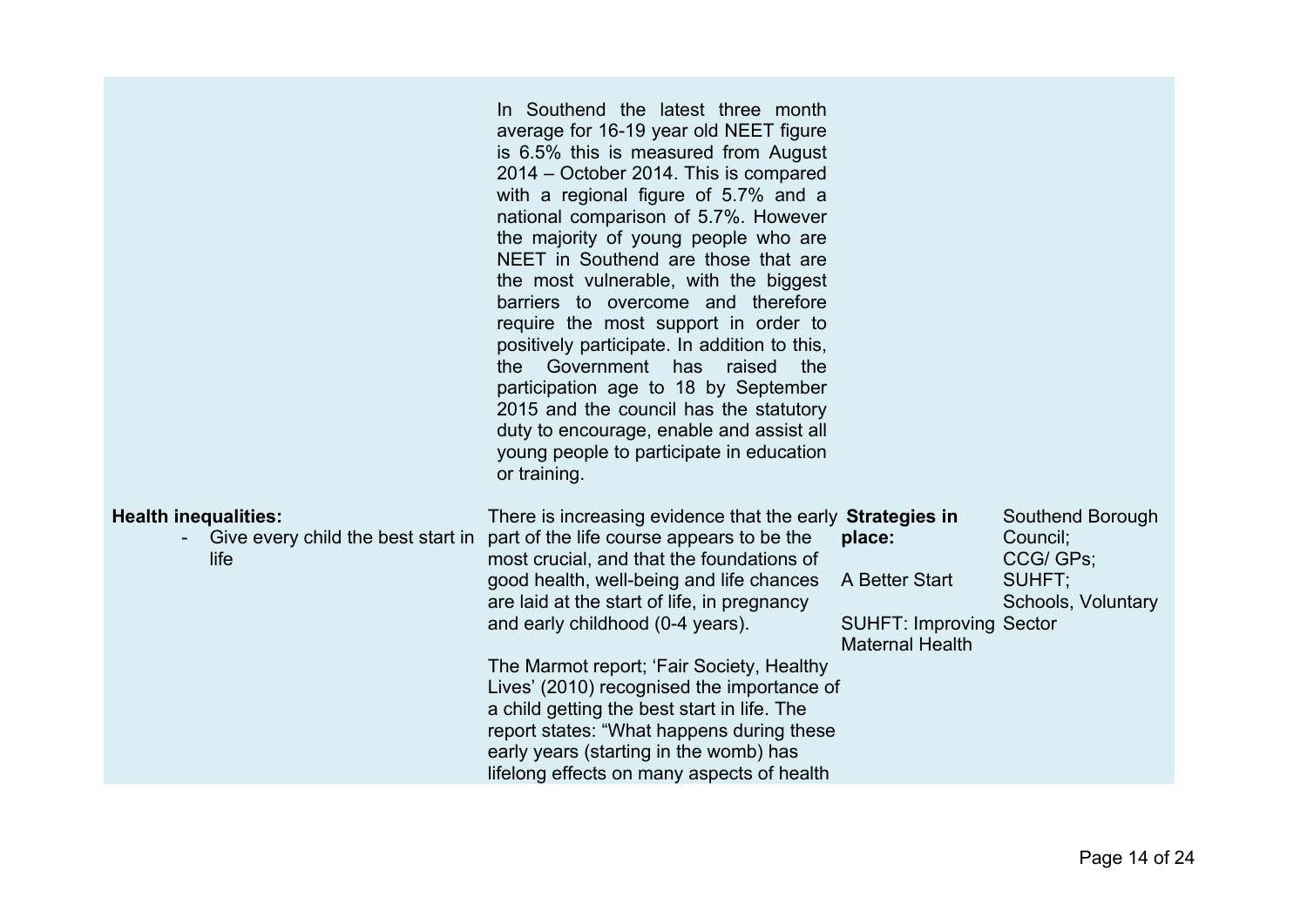|                                                                           | In Southend the latest three month<br>average for 16-19 year old NEET figure<br>is 6.5% this is measured from August<br>2014 – October 2014. This is compared<br>with a regional figure of 5.7% and a<br>national comparison of 5.7%. However<br>the majority of young people who are<br>NEET in Southend are those that are<br>the most vulnerable, with the biggest<br>barriers to overcome and therefore<br>require the most support in order to<br>positively participate. In addition to this,<br>Government has<br>raised<br>the<br>the<br>participation age to 18 by September<br>2015 and the council has the statutory<br>duty to encourage, enable and assist all<br>young people to participate in education<br>or training. |                                                                                      |                                                                           |
|---------------------------------------------------------------------------|-----------------------------------------------------------------------------------------------------------------------------------------------------------------------------------------------------------------------------------------------------------------------------------------------------------------------------------------------------------------------------------------------------------------------------------------------------------------------------------------------------------------------------------------------------------------------------------------------------------------------------------------------------------------------------------------------------------------------------------------|--------------------------------------------------------------------------------------|---------------------------------------------------------------------------|
| <b>Health inequalities:</b><br>Give every child the best start in<br>life | There is increasing evidence that the early <b>Strategies in</b><br>part of the life course appears to be the<br>most crucial, and that the foundations of<br>good health, well-being and life chances<br>are laid at the start of life, in pregnancy<br>and early childhood (0-4 years).<br>The Marmot report; 'Fair Society, Healthy<br>Lives' (2010) recognised the importance of<br>a child getting the best start in life. The<br>report states: "What happens during these<br>early years (starting in the womb) has<br>lifelong effects on many aspects of health                                                                                                                                                                | place:<br>A Better Start<br><b>SUHFT: Improving Sector</b><br><b>Maternal Health</b> | Southend Borough<br>Council;<br>CCG/ GPs;<br>SUHFT;<br>Schools, Voluntary |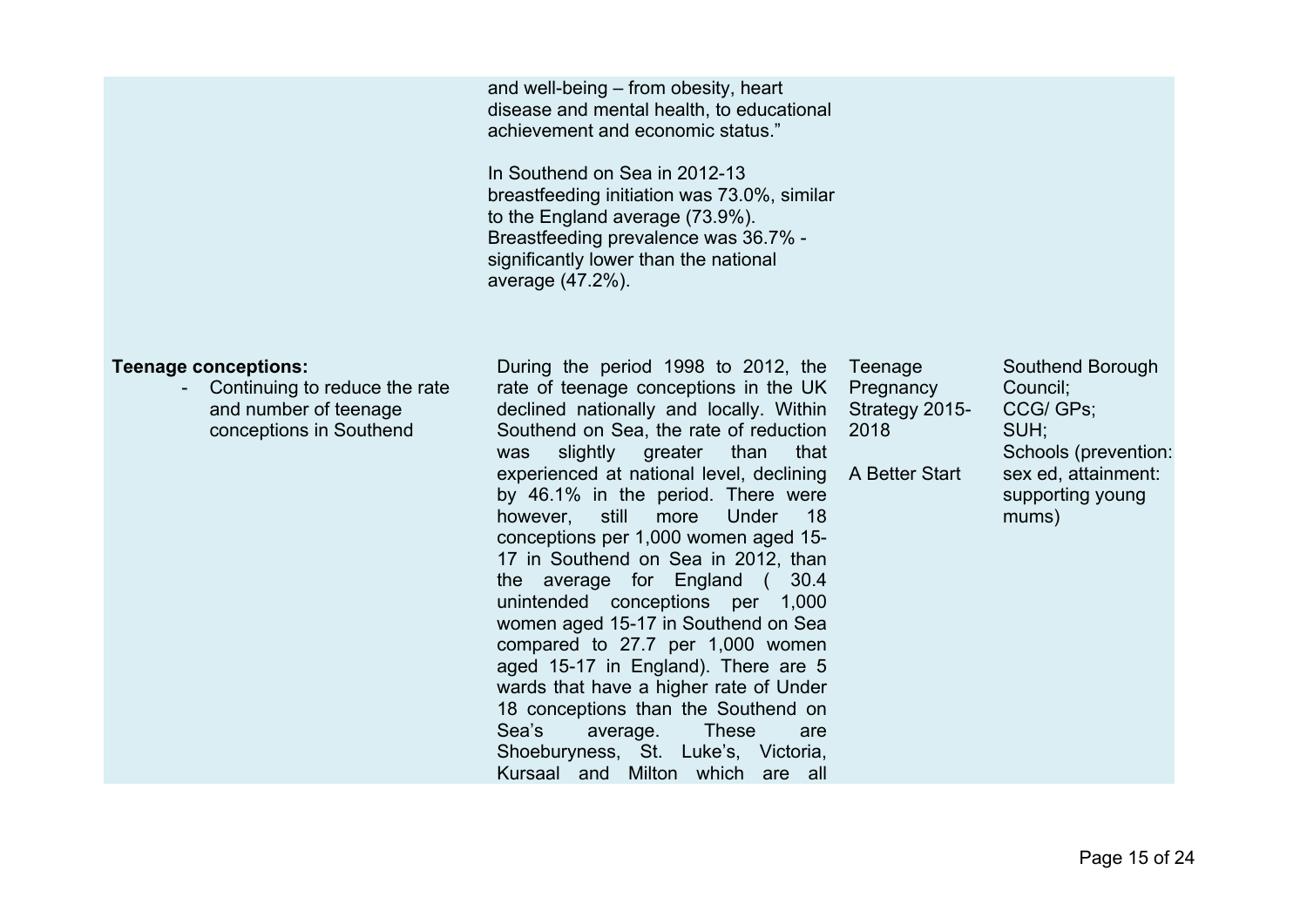and well-being – from obesity, heart disease and mental health, to educational achievement and economic status."

In Southend on Sea in 2012-13 breastfeeding initiation was 73.0%, similar to the England average (73.9%). Breastfeeding prevalence was 36.7% significantly lower than the national average (47.2%).

#### **Teenage conceptions:**

- Continuing to reduce the rate and number of teenage conceptions in Southend

During the period 1998 to 2012, the Teenage rate of teenage conceptions in the UK Pregnancy declined nationally and locally. Within Southend on Sea, the rate of reduction 2018 was slightly greater than that experienced at national level, declining A Better Start by 46.1% in the period. There were however, still more Under 18 conceptions per 1,000 women aged 15- 17 in Southend on Sea in 2012, than the average for England ( 30.4 unintended conceptions per 1,000 women aged 15-17 in Southend on Sea compared to 27.7 per 1,000 women aged 15-17 in England). There are 5 wards that have a higher rate of Under 18 conceptions than the Southend on Sea's average. These are Shoeburyness, St. Luke's, Victoria, Kursaal and Milton which are all

Strategy 2015-

Southend Borough Council; CCG/ GPs; SUH; Schools (prevention: sex ed, attainment: supporting young mums)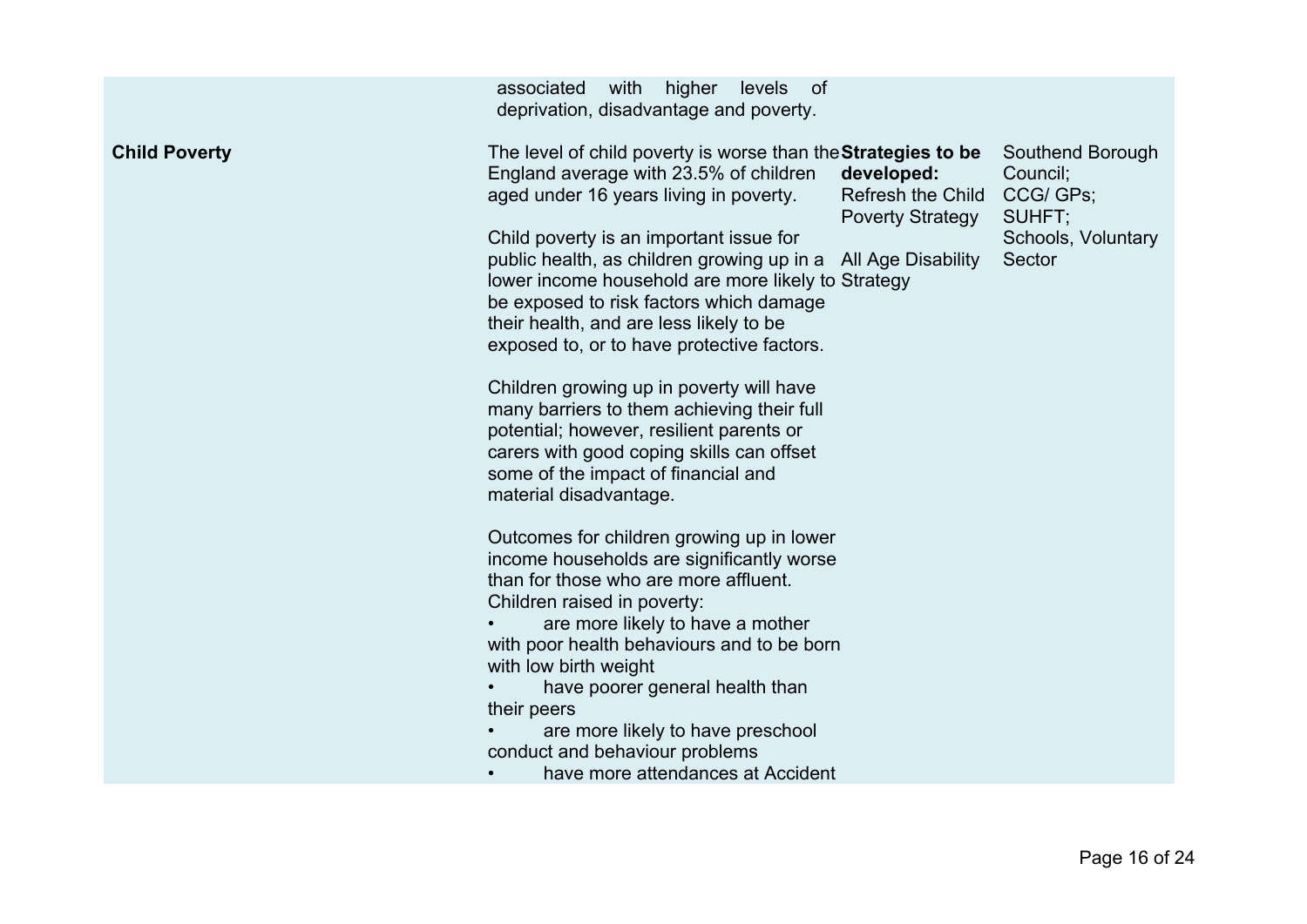| <b>Child Poverty</b><br>The level of child poverty is worse than the <b>Strategies to be</b><br>Southend Borough<br>England average with 23.5% of children<br>developed:<br>Council;<br><b>Refresh the Child</b><br>CCG/ GPs;<br>aged under 16 years living in poverty.<br><b>Poverty Strategy</b><br>SUHFT;<br>Child poverty is an important issue for<br>Schools, Voluntary<br>public health, as children growing up in a All Age Disability<br>Sector                                                                                                                                                                                                                                                                                                                                                                                                                              |  |
|---------------------------------------------------------------------------------------------------------------------------------------------------------------------------------------------------------------------------------------------------------------------------------------------------------------------------------------------------------------------------------------------------------------------------------------------------------------------------------------------------------------------------------------------------------------------------------------------------------------------------------------------------------------------------------------------------------------------------------------------------------------------------------------------------------------------------------------------------------------------------------------|--|
| lower income household are more likely to Strategy<br>be exposed to risk factors which damage<br>their health, and are less likely to be<br>exposed to, or to have protective factors.<br>Children growing up in poverty will have<br>many barriers to them achieving their full<br>potential; however, resilient parents or<br>carers with good coping skills can offset<br>some of the impact of financial and<br>material disadvantage.<br>Outcomes for children growing up in lower<br>income households are significantly worse<br>than for those who are more affluent.<br>Children raised in poverty:<br>are more likely to have a mother<br>with poor health behaviours and to be born<br>with low birth weight<br>have poorer general health than<br>their peers<br>are more likely to have preschool<br>conduct and behaviour problems<br>have more attendances at Accident |  |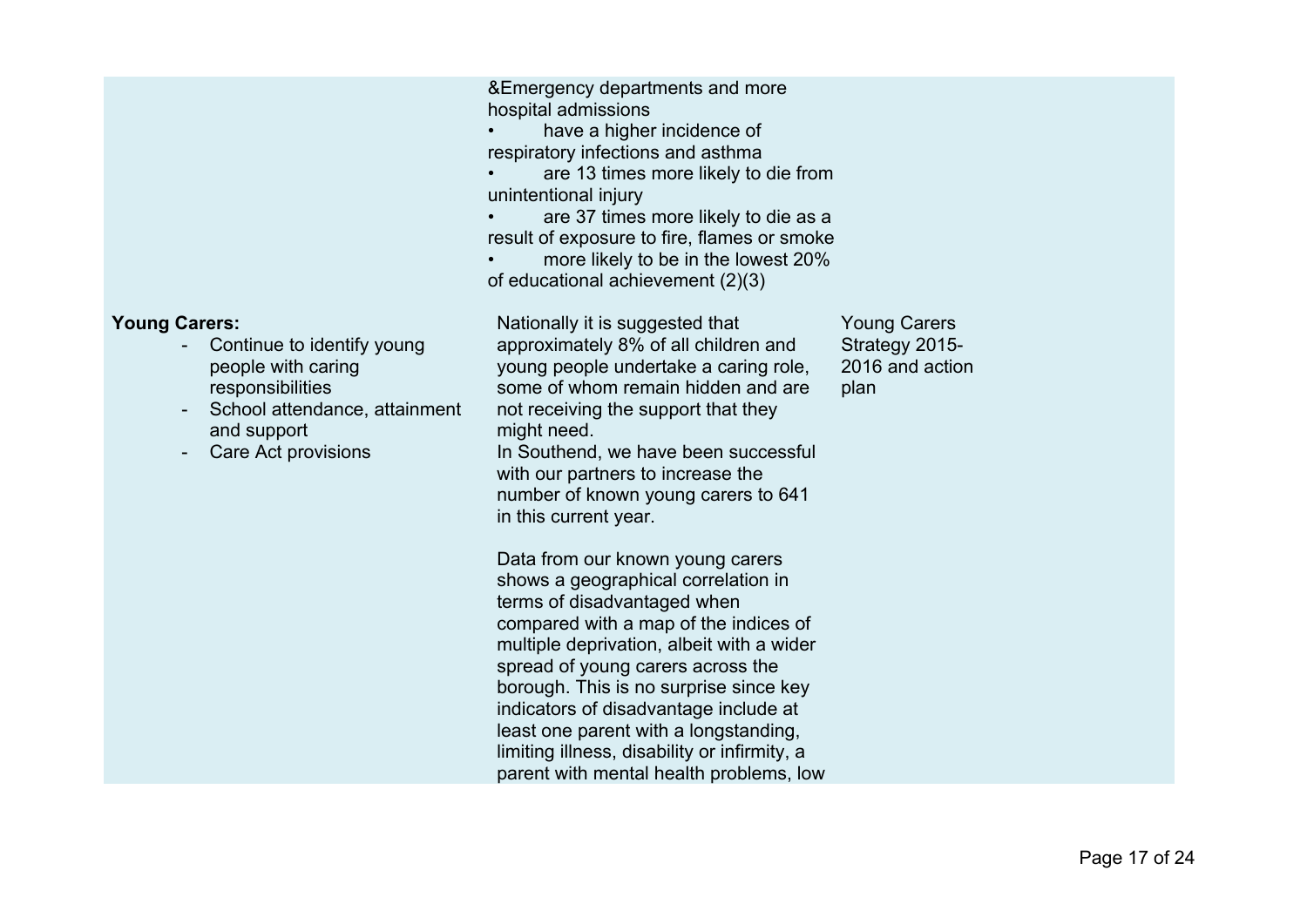&Emergency departments and more hospital admissions have a higher incidence of respiratory infections and asthma • are 13 times more likely to die from unintentional injury are 37 times more likely to die as a result of exposure to fire, flames or smoke • more likely to be in the lowest 20% of educational achievement (2)(3) **Young Carers:** Continue to identify young people with caring responsibilities School attendance, attainment and support Care Act provisions Nationally it is suggested that approximately 8% of all children and young people undertake a caring role, some of whom remain hidden and are not receiving the support that they might need. In Southend, we have been successful with our partners to increase the number of known young carers to 641 in this current year. Data from our known young carers shows a geographical correlation in terms of disadvantaged when compared with a map of the indices of multiple deprivation, albeit with a wider spread of young carers across the borough. This is no surprise since key indicators of disadvantage include at least one parent with a longstanding, limiting illness, disability or infirmity, a parent with mental health problems, low Young Carers Strategy 2015- 2016 and action plan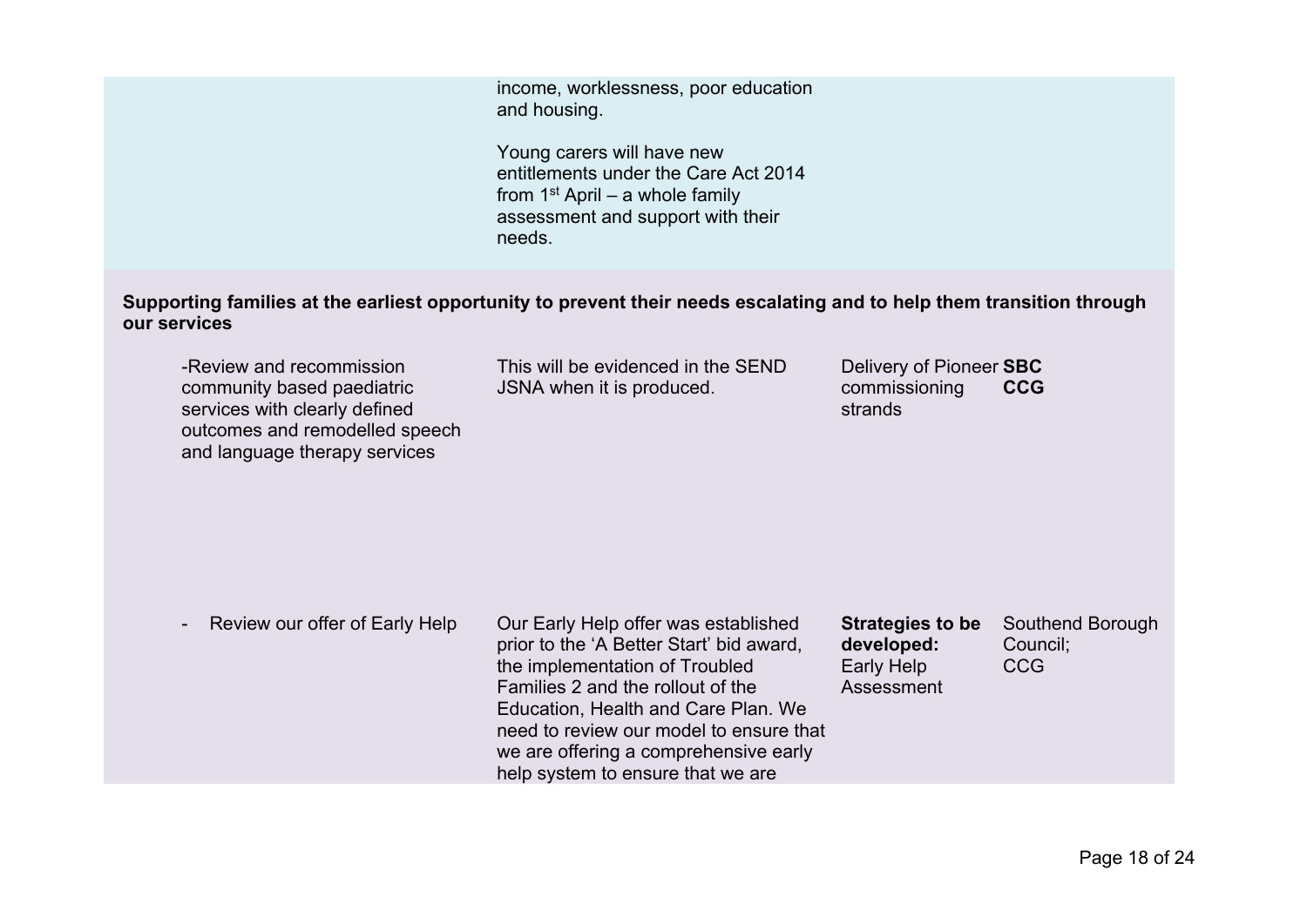income, worklessness, poor education and housing.

Young carers will have new entitlements under the Care Act 2014 from 1st April – a whole family assessment and support with their needs.

Supporting families at the earliest opportunity to prevent their needs escalating and to help them transition through **our services**

-Review and recommission community based paediatric services with clearly defined outcomes and remodelled speech and language therapy services

This will be evidenced in the SEND JSNA when it is produced.

Delivery of Pioneer **SBC** commissioning strands **CCG**

Review our offer of Early Help Our Early Help offer was established

prior to the 'A Better Start' bid award, the implementation of Troubled Families 2 and the rollout of the Education, Health and Care Plan. We need to review our model to ensure that we are offering a comprehensive early help system to ensure that we are

**Strategies to be developed:** Early Help Assessment Southend Borough Council; **CCG**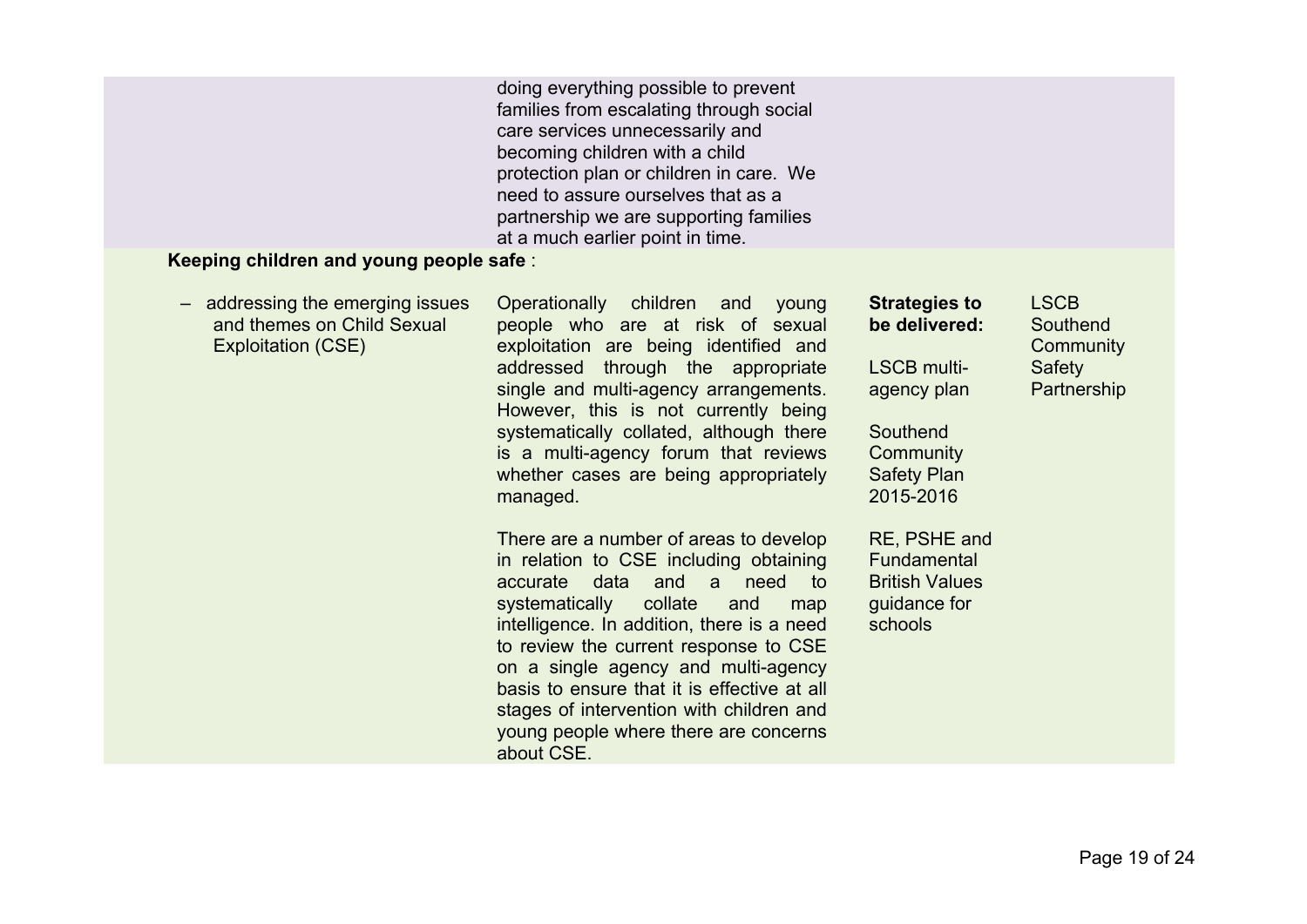doing everything possible to prevent families from escalating through social care services unnecessarily and becoming children with a child protection plan or children in care. We need to assure ourselves that as a partnership we are supporting families at a much earlier point in time.

## **Keeping children and young people safe** :

| addressing the emerging issues<br>and themes on Child Sexual<br><b>Exploitation (CSE)</b> | Operationally children and<br>young<br>people who are at risk of sexual<br>exploitation are being identified and<br>addressed through the appropriate<br>single and multi-agency arrangements.<br>However, this is not currently being<br>systematically collated, although there<br>is a multi-agency forum that reviews<br>whether cases are being appropriately<br>managed.                                                                       | <b>Strategies to</b><br>be delivered:<br>LSCB multi-<br>agency plan<br>Southend<br>Community<br><b>Safety Plan</b><br>2015-2016 | <b>LSCB</b><br>Southend<br>Community<br>Safety<br>Partnership |
|-------------------------------------------------------------------------------------------|------------------------------------------------------------------------------------------------------------------------------------------------------------------------------------------------------------------------------------------------------------------------------------------------------------------------------------------------------------------------------------------------------------------------------------------------------|---------------------------------------------------------------------------------------------------------------------------------|---------------------------------------------------------------|
|                                                                                           | There are a number of areas to develop<br>in relation to CSE including obtaining<br>need<br>data and a<br>accurate<br>to:<br>collate<br>systematically<br>and<br>map<br>intelligence. In addition, there is a need<br>to review the current response to CSE<br>on a single agency and multi-agency<br>basis to ensure that it is effective at all<br>stages of intervention with children and<br>young people where there are concerns<br>about CSE. | RE, PSHE and<br>Fundamental<br><b>British Values</b><br>guidance for<br>schools                                                 |                                                               |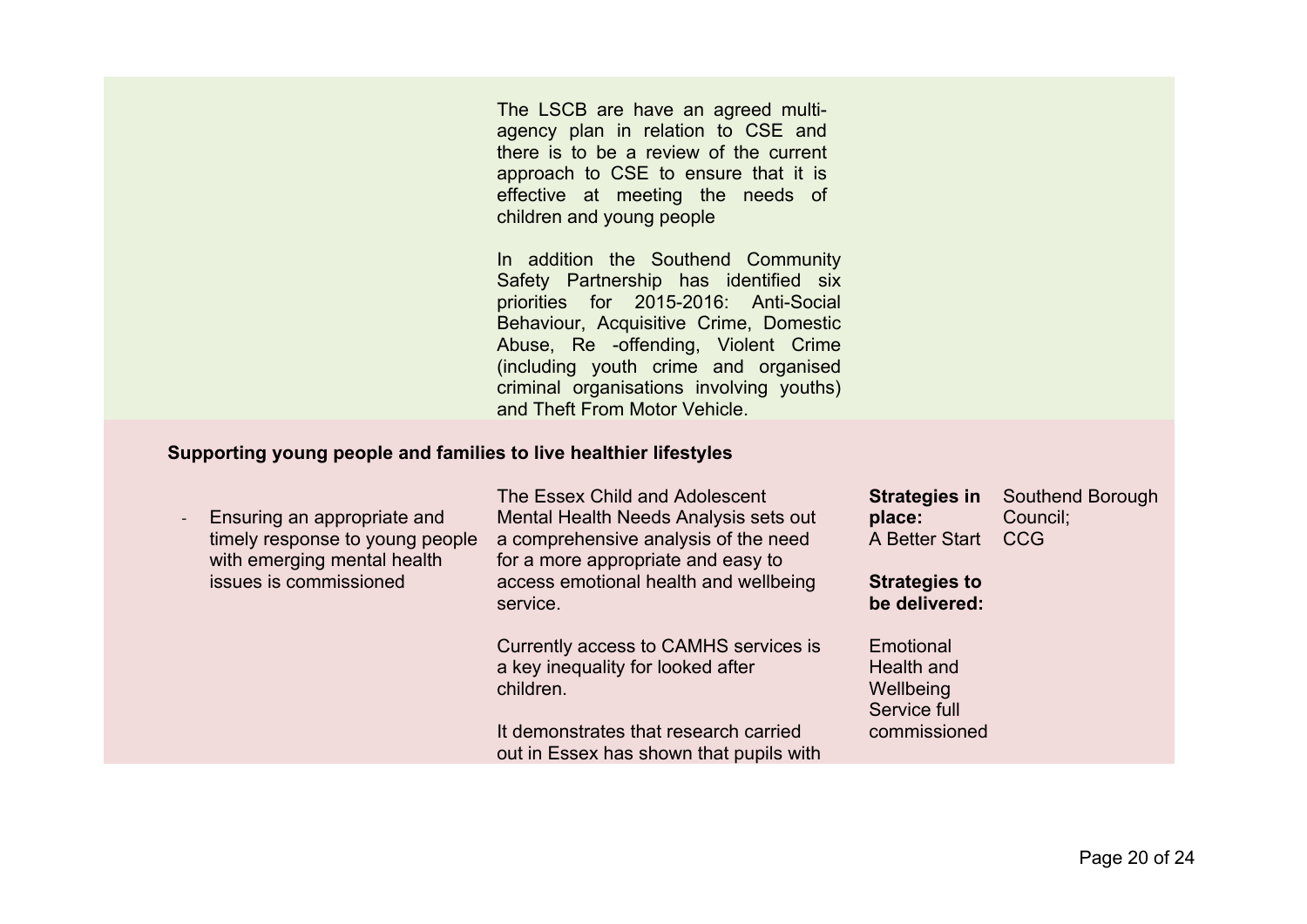The LSCB are have an agreed multiagency plan in relation to CSE and there is to be a review of the current approach to CSE to ensure that it is effective at meeting the needs of children and young people

In addition the Southend Community Safety Partnership has identified six priorities for 2015-2016: Anti-Social Behaviour, Acquisitive Crime, Domestic Abuse, Re -offending, Violent Crime (including youth crime and organised criminal organisations involving youths) and Theft From Motor Vehicle.

#### **Supporting young people and families to live healthier lifestyles**

| Ensuring an appropriate and<br>timely response to young people<br>with emerging mental health<br>issues is commissioned | The Essex Child and Adolescent<br>Mental Health Needs Analysis sets out<br>a comprehensive analysis of the need<br>for a more appropriate and easy to<br>access emotional health and wellbeing<br>service. | <b>Strategies in</b><br>place:<br>A Better Start<br><b>Strategies to</b><br>be delivered: | Southend Borough<br>Council;<br><b>CCG</b> |
|-------------------------------------------------------------------------------------------------------------------------|------------------------------------------------------------------------------------------------------------------------------------------------------------------------------------------------------------|-------------------------------------------------------------------------------------------|--------------------------------------------|
|                                                                                                                         | Currently access to CAMHS services is<br>a key inequality for looked after<br>children.<br>It demonstrates that research carried<br>out in Essex has shown that pupils with                                | Emotional<br>Health and<br>Wellbeing<br>Service full<br>commissioned                      |                                            |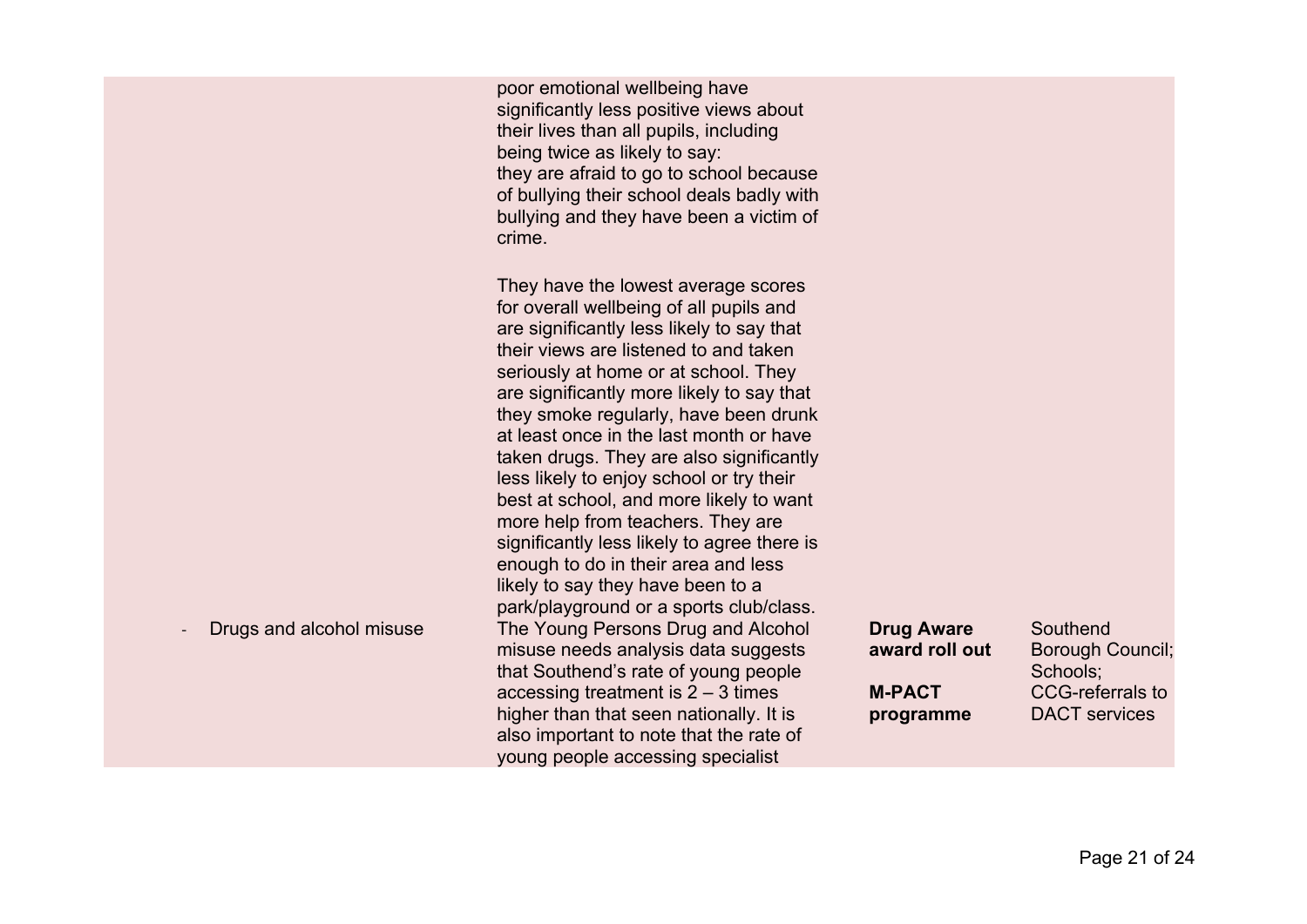poor emotional wellbeing have significantly less positive views about their lives than all pupils, including being twice as likely to say: they are afraid to go to school because of bullying their school deals badly with bullying and they have been a victim of crime.

They have the lowest average scores for overall wellbeing of all pupils and are significantly less likely to say that their views are listened to and taken seriously at home or at school. They are significantly more likely to say that they smoke regularly, have been drunk at least once in the last month or have taken drugs. They are also significantly less likely to enjoy school or try their best at school, and more likely to want more help from teachers. They are significantly less likely to agree there is enough to do in their area and less likely to say they have been to a park/playground or a sports club/class. - Drugs and alcohol misuse The Young Persons Drug and Alcohol misuse needs analysis data suggests that Southend's rate of young people accessing treatment is 2 – 3 times higher than that seen nationally. It is also important to note that the rate of young people accessing specialist

| <b>Drug Aware</b> | Southend                |
|-------------------|-------------------------|
| award roll out    | <b>Borough Council;</b> |
|                   | Schools;                |
| <b>M-PACT</b>     | <b>CCG-referrals to</b> |
| programme         | <b>DACT</b> services    |
|                   |                         |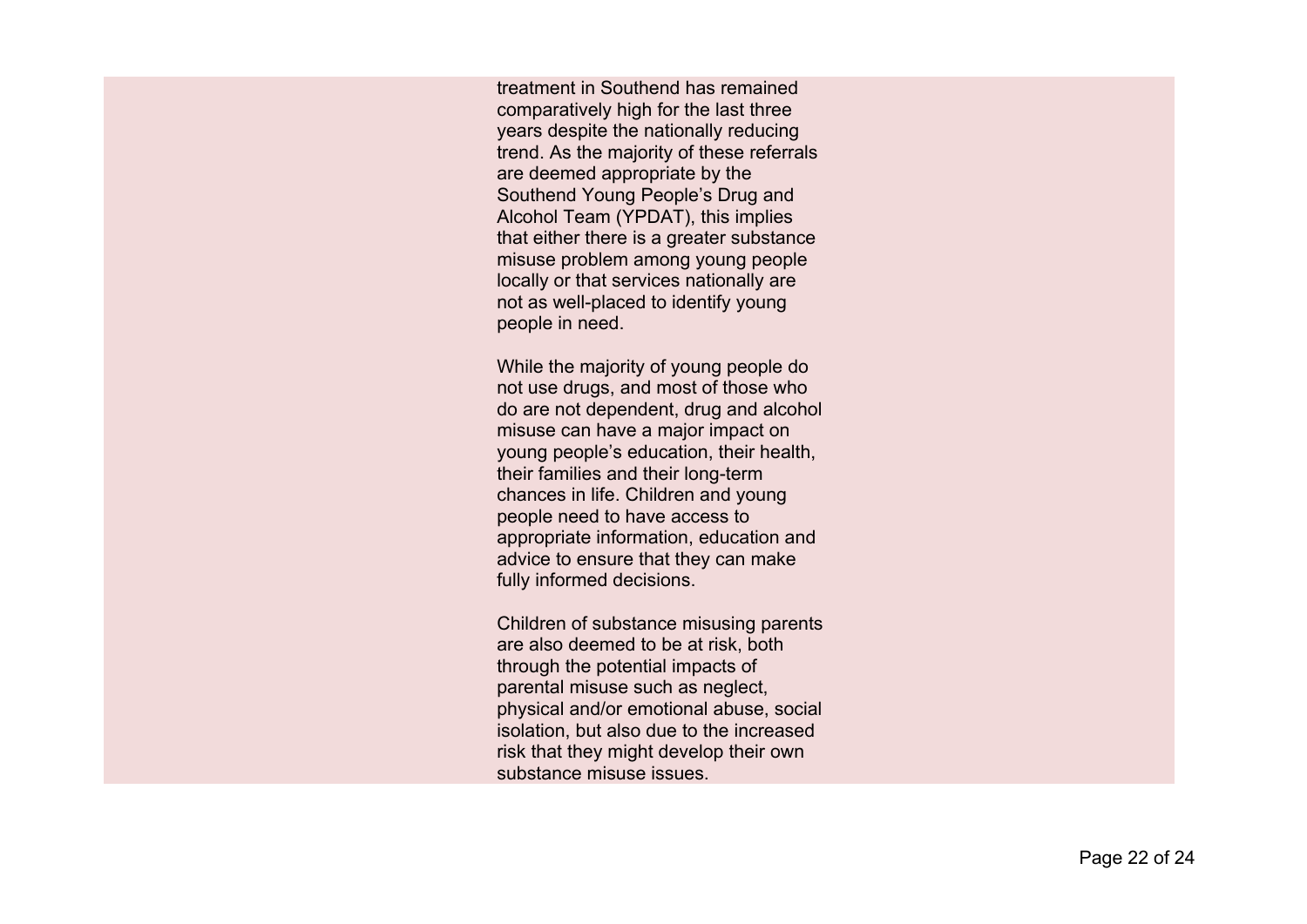treatment in Southend has remained comparatively high for the last three years despite the nationally reducing trend. As the majority of these referrals are deemed appropriate by the Southend Young People's Drug and Alcohol Team (YPDAT), this implies that either there is a greater substance misuse problem among young people locally or that services nationally are not as well-placed to identify young people in need.

While the majority of young people do not use drugs, and most of those who do are not dependent, drug and alcohol misuse can have a major impact on young people's education, their health, their families and their long-term chances in life. Children and young people need to have access to appropriate information, education and advice to ensure that they can make fully informed decisions.

Children of substance misusing parents are also deemed to be at risk, both through the potential impacts of parental misuse such as neglect, physical and/or emotional abuse, social isolation, but also due to the increased risk that they might develop their own substance misuse issues.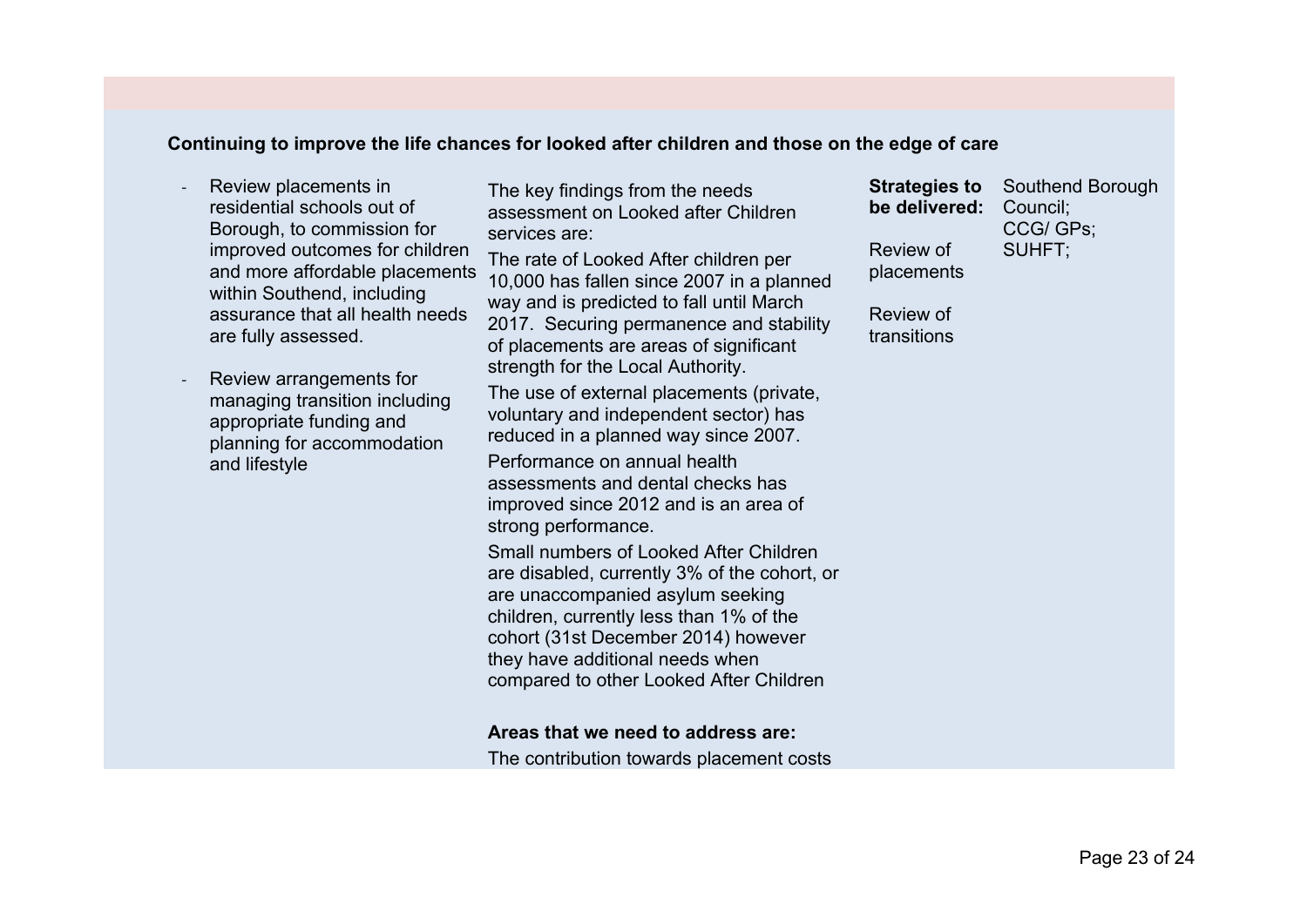#### **Continuing to improve the life chances for looked after children and those on the edge of care**

- Review placements in residential schools out of Borough, to commission for improved outcomes for children and more affordable placements within Southend, including assurance that all health needs are fully assessed.
- Review arrangements for managing transition including appropriate funding and planning for accommodation and lifestyle

The key findings from the needs assessment on Looked after Children services are:

The rate of Looked After children per 10,000 has fallen since 2007 in a planned way and is predicted to fall until March 2017. Securing permanence and stability of placements are areas of significant strength for the Local Authority.

The use of external placements (private, voluntary and independent sector) has reduced in a planned way since 2007.

Performance on annual health assessments and dental checks has improved since 2012 and is an area of strong performance.

Small numbers of Looked After Children are disabled, currently 3% of the cohort, or are unaccompanied asylum seeking children, currently less than 1% of the cohort (31st December 2014) however they have additional needs when compared to other Looked After Children

#### **Areas that we need to address are:**

The contribution towards placement costs

**Strategies to be delivered:** Council; Review of placements Southend Borough CCG/ GPs; SUHFT;

Review of transitions